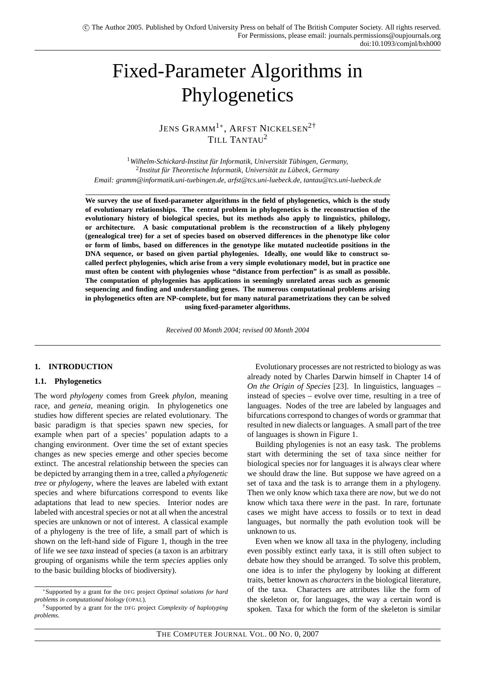# Fixed-Parameter Algorithms in Phylogenetics

JENS  $\rm{GRAMM}^{1*}$ , Arfst Nickelsen $^{2\dagger}$ TILL TANTAU<sup>2</sup>

<sup>1</sup>Wilhelm-Schickard-Institut für Informatik, Universität Tübingen, Germany, <sup>2</sup> Institut für Theoretische Informatik, Universität zu Lübeck, Germany *Email: gramm@informatik.uni-tuebingen.de, arfst@tcs.uni-luebeck.de, tantau@tcs.uni-luebeck.de*

**We survey the use of fixed-parameter algorithms in the field of phylogenetics, which is the study of evolutionary relationships. The central problem in phylogenetics is the reconstruction of the evolutionary history of biological species, but its methods also apply to linguistics, philology, or architecture. A basic computational problem is the reconstruction of a likely phylogeny (genealogical tree) for a set of species based on observed differences in the phenotype like color or form of limbs, based on differences in the genotype like mutated nucleotide positions in the DNA sequence, or based on given partial phylogenies. Ideally, one would like to construct socalled perfect phylogenies, which arise from a very simple evolutionary model, but in practice one must often be content with phylogenies whose "distance from perfection" is as small as possible. The computation of phylogenies has applications in seemingly unrelated areas such as genomic sequencing and finding and understanding genes. The numerous computational problems arising in phylogenetics often are NP-complete, but for many natural parametrizations they can be solved using fixed-parameter algorithms.**

*Received 00 Month 2004; revised 00 Month 2004*

# **1. INTRODUCTION**

## **1.1. Phylogenetics**

The word *phylogeny* comes from Greek *phylon*, meaning race, and *geneia*, meaning origin. In phylogenetics one studies how different species are related evolutionary. The basic paradigm is that species spawn new species, for example when part of a species' population adapts to a changing environment. Over time the set of extant species changes as new species emerge and other species become extinct. The ancestral relationship between the species can be depicted by arranging them in a tree, called a *phylogenetic tree* or *phylogeny*, where the leaves are labeled with extant species and where bifurcations correspond to events like adaptations that lead to new species. Interior nodes are labeled with ancestral species or not at all when the ancestral species are unknown or not of interest. A classical example of a phylogeny is the tree of life, a small part of which is shown on the left-hand side of Figure 1, though in the tree of life we see *taxa* instead of species (a taxon is an arbitrary grouping of organisms while the term *species* applies only to the basic building blocks of biodiversity).

Evolutionary processes are not restricted to biology as was already noted by Charles Darwin himself in Chapter 14 of *On the Origin of Species* [23]. In linguistics, languages – instead of species – evolve over time, resulting in a tree of languages. Nodes of the tree are labeled by languages and bifurcations correspond to changes of words or grammar that resulted in new dialects or languages. A small part of the tree of languages is shown in Figure 1.

Building phylogenies is not an easy task. The problems start with determining the set of taxa since neither for biological species nor for languages it is always clear where we should draw the line. But suppose we have agreed on a set of taxa and the task is to arrange them in a phylogeny. Then we only know which taxa there are *now*, but we do not know which taxa there *were* in the past. In rare, fortunate cases we might have access to fossils or to text in dead languages, but normally the path evolution took will be unknown to us.

Even when we know all taxa in the phylogeny, including even possibly extinct early taxa, it is still often subject to debate how they should be arranged. To solve this problem, one idea is to infer the phylogeny by looking at different traits, better known as *characters* in the biological literature, of the taxa. Characters are attributes like the form of the skeleton or, for languages, the way a certain word is spoken. Taxa for which the form of the skeleton is similar

<sup>∗</sup>Supported by a grant for the DFG project *Optimal solutions for hard problems in computational biology* (OPAL).

<sup>†</sup>Supported by a grant for the DFG project *Complexity of haplotyping problems*.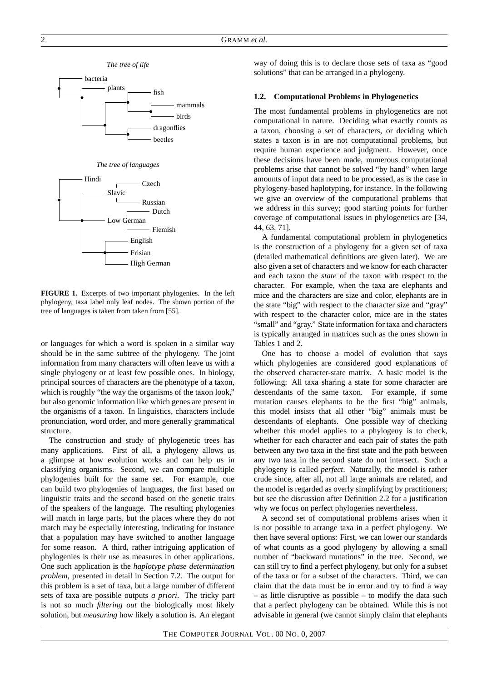

**FIGURE 1.** Excerpts of two important phylogenies. In the left phylogeny, taxa label only leaf nodes. The shown portion of the tree of languages is taken from taken from [55].

or languages for which a word is spoken in a similar way should be in the same subtree of the phylogeny. The joint information from many characters will often leave us with a single phylogeny or at least few possible ones. In biology, principal sources of characters are the phenotype of a taxon, which is roughly "the way the organisms of the taxon look," but also genomic information like which genes are present in the organisms of a taxon. In linguistics, characters include pronunciation, word order, and more generally grammatical structure.

The construction and study of phylogenetic trees has many applications. First of all, a phylogeny allows us a glimpse at how evolution works and can help us in classifying organisms. Second, we can compare multiple phylogenies built for the same set. For example, one can build two phylogenies of languages, the first based on linguistic traits and the second based on the genetic traits of the speakers of the language. The resulting phylogenies will match in large parts, but the places where they do not match may be especially interesting, indicating for instance that a population may have switched to another language for some reason. A third, rather intriguing application of phylogenies is their use as measures in other applications. One such application is the *haplotype phase determination problem,* presented in detail in Section 7.2. The output for this problem is a set of taxa, but a large number of different sets of taxa are possible outputs *a priori*. The tricky part is not so much *filtering out* the biologically most likely solution, but *measuring* how likely a solution is. An elegant

way of doing this is to declare those sets of taxa as "good solutions" that can be arranged in a phylogeny.

#### **1.2. Computational Problems in Phylogenetics**

The most fundamental problems in phylogenetics are not computational in nature. Deciding what exactly counts as a taxon, choosing a set of characters, or deciding which states a taxon is in are not computational problems, but require human experience and judgment. However, once these decisions have been made, numerous computational problems arise that cannot be solved "by hand" when large amounts of input data need to be processed, as is the case in phylogeny-based haplotyping, for instance. In the following we give an overview of the computational problems that we address in this survey; good starting points for further coverage of computational issues in phylogenetics are [34, 44, 63, 71].

A fundamental computational problem in phylogenetics is the construction of a phylogeny for a given set of taxa (detailed mathematical definitions are given later). We are also given a set of characters and we know for each character and each taxon the *state* of the taxon with respect to the character. For example, when the taxa are elephants and mice and the characters are size and color, elephants are in the state "big" with respect to the character size and "gray" with respect to the character color, mice are in the states "small" and "gray." State information for taxa and characters is typically arranged in matrices such as the ones shown in Tables 1 and 2.

One has to choose a model of evolution that says which phylogenies are considered good explanations of the observed character-state matrix. A basic model is the following: All taxa sharing a state for some character are descendants of the same taxon. For example, if some mutation causes elephants to be the first "big" animals, this model insists that all other "big" animals must be descendants of elephants. One possible way of checking whether this model applies to a phylogeny is to check, whether for each character and each pair of states the path between any two taxa in the first state and the path between any two taxa in the second state do not intersect. Such a phylogeny is called *perfect*. Naturally, the model is rather crude since, after all, not all large animals are related, and the model is regarded as overly simplifying by practitioners; but see the discussion after Definition 2.2 for a justification why we focus on perfect phylogenies nevertheless.

A second set of computational problems arises when it is not possible to arrange taxa in a perfect phylogeny. We then have several options: First, we can lower our standards of what counts as a good phylogeny by allowing a small number of "backward mutations" in the tree. Second, we can still try to find a perfect phylogeny, but only for a subset of the taxa or for a subset of the characters. Third, we can claim that the data must be in error and try to find a way – as little disruptive as possible – to modify the data such that a perfect phylogeny can be obtained. While this is not advisable in general (we cannot simply claim that elephants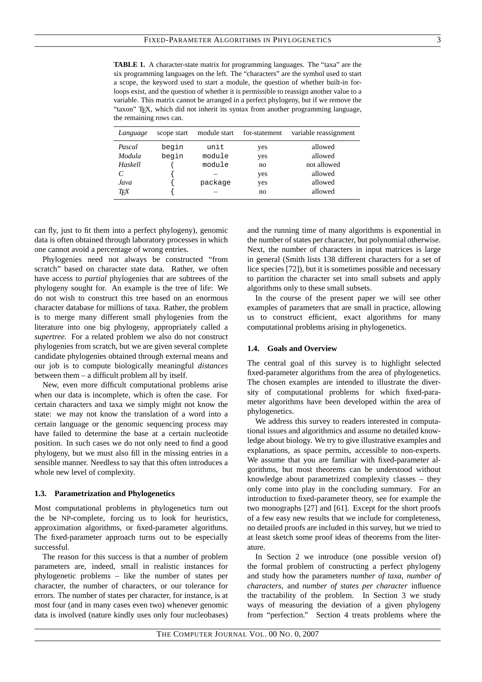**TABLE 1.** A character-state matrix for programming languages. The "taxa" are the six programming languages on the left. The "characters" are the symbol used to start a scope, the keyword used to start a module, the question of whether built-in forloops exist, and the question of whether it is permissible to reassign another value to a variable. This matrix cannot be arranged in a perfect phylogeny, but if we remove the "taxon" TEX, which did not inherit its syntax from another programming language, the remaining rows can.

| Language | scope start | module start | for-statement | variable reassignment |
|----------|-------------|--------------|---------------|-----------------------|
| Pascal   | begin       | unit         | yes           | allowed               |
| Modula   | begin       | module       | yes           | allowed               |
| Haskell  |             | module       | no            | not allowed           |
|          |             |              | yes           | allowed               |
| Java     |             | package      | yes           | allowed               |
| TFX      |             |              | no            | allowed               |

can fly, just to fit them into a perfect phylogeny), genomic data is often obtained through laboratory processes in which one cannot avoid a percentage of wrong entries.

Phylogenies need not always be constructed "from scratch" based on character state data. Rather, we often have access to *partial* phylogenies that are subtrees of the phylogeny sought for. An example is the tree of life: We do not wish to construct this tree based on an enormous character database for millions of taxa. Rather, the problem is to merge many different small phylogenies from the literature into one big phylogeny, appropriately called a *supertree.* For a related problem we also do not construct phylogenies from scratch, but we are given several complete candidate phylogenies obtained through external means and our job is to compute biologically meaningful *distances* between them – a difficult problem all by itself.

New, even more difficult computational problems arise when our data is incomplete, which is often the case. For certain characters and taxa we simply might not know the state: we may not know the translation of a word into a certain language or the genomic sequencing process may have failed to determine the base at a certain nucleotide position. In such cases we do not only need to find a good phylogeny, but we must also fill in the missing entries in a sensible manner. Needless to say that this often introduces a whole new level of complexity.

#### **1.3. Parametrization and Phylogenetics**

Most computational problems in phylogenetics turn out the be NP-complete, forcing us to look for heuristics, approximation algorithms, or fixed-parameter algorithms. The fixed-parameter approach turns out to be especially successful.

The reason for this success is that a number of problem parameters are, indeed, small in realistic instances for phylogenetic problems – like the number of states per character, the number of characters, or our tolerance for errors. The number of states per character, for instance, is at most four (and in many cases even two) whenever genomic data is involved (nature kindly uses only four nucleobases) and the running time of many algorithms is exponential in the number of states per character, but polynomial otherwise. Next, the number of characters in input matrices is large in general (Smith lists 138 different characters for a set of lice species [72]), but it is sometimes possible and necessary to partition the character set into small subsets and apply algorithms only to these small subsets.

In the course of the present paper we will see other examples of parameters that are small in practice, allowing us to construct efficient, exact algorithms for many computational problems arising in phylogenetics.

#### **1.4. Goals and Overview**

The central goal of this survey is to highlight selected fixed-parameter algorithms from the area of phylogenetics. The chosen examples are intended to illustrate the diversity of computational problems for which fixed-parameter algorithms have been developed within the area of phylogenetics.

We address this survey to readers interested in computational issues and algorithmics and assume no detailed knowledge about biology. We try to give illustrative examples and explanations, as space permits, accessible to non-experts. We assume that you are familiar with fixed-parameter algorithms, but most theorems can be understood without knowledge about parametrized complexity classes – they only come into play in the concluding summary. For an introduction to fixed-parameter theory, see for example the two monographs [27] and [61]. Except for the short proofs of a few easy new results that we include for completeness, no detailed proofs are included in this survey, but we tried to at least sketch some proof ideas of theorems from the literature.

In Section 2 we introduce (one possible version of) the formal problem of constructing a perfect phylogeny and study how the parameters *number of taxa*, *number of characters*, and *number of states per character* influence the tractability of the problem. In Section 3 we study ways of measuring the deviation of a given phylogeny from "perfection." Section 4 treats problems where the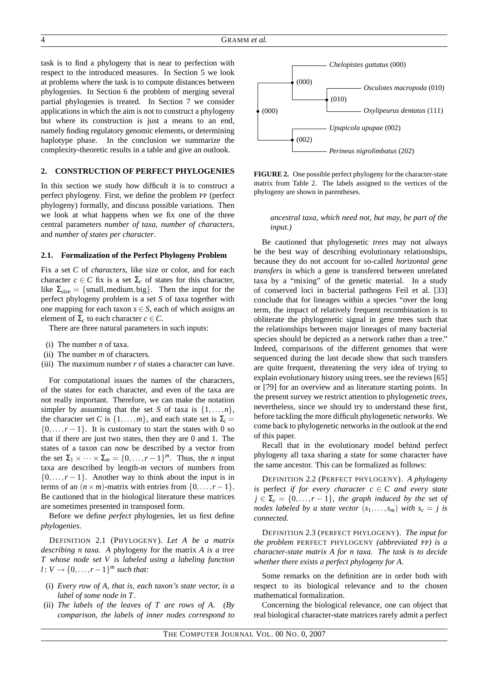task is to find a phylogeny that is near to perfection with respect to the introduced measures. In Section 5 we look at problems where the task is to compute distances between phylogenies. In Section 6 the problem of merging several partial phylogenies is treated. In Section 7 we consider applications in which the aim is not to construct a phylogeny but where its construction is just a means to an end, namely finding regulatory genomic elements, or determining haplotype phase. In the conclusion we summarize the complexity-theoretic results in a table and give an outlook.

## **2. CONSTRUCTION OF PERFECT PHYLOGENIES**

In this section we study how difficult it is to construct a perfect phylogeny. First, we define the problem PP (perfect phylogeny) formally, and discuss possible variations. Then we look at what happens when we fix one of the three central parameters *number of taxa*, *number of characters*, and *number of states per character*.

#### **2.1. Formalization of the Perfect Phylogeny Problem**

Fix a set *C* of *characters*, like size or color, and for each character  $c \in C$  fix is a set  $\Sigma_c$  of states for this character, like  $\Sigma_{\text{size}} = \{\text{small}, \text{medium}, \text{big}\}.$  Then the input for the perfect phylogeny problem is a set *S* of taxa together with one mapping for each taxon  $s \in S$ , each of which assigns an element of  $\Sigma_c$  to each character  $c \in C$ .

There are three natural parameters in such inputs:

- (i) The number *n* of taxa.
- (ii) The number *m* of characters.
- (iii) The maximum number  $r$  of states a character can have.

For computational issues the names of the characters, of the states for each character, and even of the taxa are not really important. Therefore, we can make the notation simpler by assuming that the set *S* of taxa is  $\{1, \ldots, n\}$ , the character set *C* is  $\{1, \ldots, m\}$ , and each state set is  $\Sigma_i =$  $\{0,\ldots,r-1\}$ . It is customary to start the states with 0 so that if there are just two states, then they are 0 and 1. The states of a taxon can now be described by a vector from the set  $\Sigma_1 \times \cdots \times \Sigma_m = \{0, \ldots, r-1\}^m$ . Thus, the *n* input taxa are described by length-*m* vectors of numbers from  $\{0,\ldots,r-1\}$ . Another way to think about the input is in terms of an  $(n \times m)$ -matrix with entries from  $\{0, \ldots, r-1\}$ . Be cautioned that in the biological literature these matrices are sometimes presented in transposed form.

Before we define *perfect* phylogenies, let us first define *phylogenies*.

DEFINITION 2.1 (PHYLOGENY). *Let A be a matrix describing n taxa. A* phylogeny for the matrix *A is a tree T whose node set V is labeled using a labeling function*  $l: V \rightarrow \{0, \ldots, r-1\}^m$  *such that:* 

- (i) *Every row of A, that is, each taxon's state vector, is a label of some node in T .*
- (ii) *The labels of the leaves of T are rows of A. (By comparison, the labels of inner nodes correspond to*



**FIGURE 2.** One possible perfect phylogeny for the character-state matrix from Table 2. The labels assigned to the vertices of the phylogeny are shown in parentheses.

## *ancestral taxa, which need not, but may, be part of the input.)*

Be cautioned that phylogenetic *trees* may not always be the best way of describing evolutionary relationships, because they do not account for so-called *horizontal gene transfers* in which a gene is transfered between unrelated taxa by a "mixing" of the genetic material. In a study of conserved loci in bacterial pathogens Feil et al. [33] conclude that for lineages within a species "over the long term, the impact of relatively frequent recombination is to obliterate the phylogenetic signal in gene trees such that the relationships between major lineages of many bacterial species should be depicted as a network rather than a tree." Indeed, comparisons of the different genomes that were sequenced during the last decade show that such transfers are quite frequent, threatening the very idea of trying to explain evolutionary history using trees, see the reviews [65] or [79] for an overview and as literature starting points. In the present survey we restrict attention to phylogenetic *trees*, nevertheless, since we should try to understand these first, before tackling the more difficult phylogenetic *networks*. We come back to phylogenetic networks in the outlook at the end of this paper.

Recall that in the evolutionary model behind perfect phylogeny all taxa sharing a state for some character have the same ancestor. This can be formalized as follows:

DEFINITION 2.2 (PERFECT PHYLOGENY). *A phylogeny is* perfect *if for every character*  $c \in C$  *and every state*  $j \in \Sigma_c = \{0, \ldots, r-1\}$ *, the graph induced by the set of nodes labeled by a state vector*  $(s_1, \ldots, s_m)$  *with*  $s_c = j$  *is connected.*

DEFINITION 2.3 (PERFECT PHYLOGENY). *The input for the problem* PERFECT PHYLOGENY *(abbreviated* PP*) is a character-state matrix A for n taxa. The task is to decide whether there exists a perfect phylogeny for A.*

Some remarks on the definition are in order both with respect to its biological relevance and to the chosen mathematical formalization.

Concerning the biological relevance, one can object that real biological character-state matrices rarely admit a perfect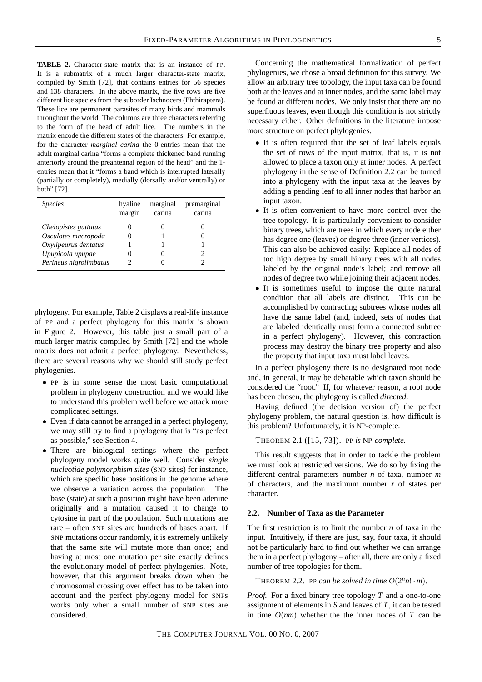**TABLE 2.** Character-state matrix that is an instance of PP. It is a submatrix of a much larger character-state matrix, compiled by Smith [72], that contains entries for 56 species and 138 characters. In the above matrix, the five rows are five different lice species from the suborder Ischnocera (Phthiraptera).

These lice are permanent parasites of many birds and mammals throughout the world. The columns are three characters referring to the form of the head of adult lice. The numbers in the matrix encode the different states of the characters. For example, for the character *marginal carina* the 0-entries mean that the adult marginal carina "forms a complete thickened band running anteriorly around the preantennal region of the head" and the 1 entries mean that it "forms a band which is interrupted laterally (partially or completely), medially (dorsally and/or ventrally) or both" [72].

| <i>Species</i>         | hyaline<br>margin | marginal<br>carina | premarginal<br>carina |
|------------------------|-------------------|--------------------|-----------------------|
| Chelopistes guttatus   |                   |                    |                       |
| Osculotes macropoda    |                   |                    |                       |
| Oxylipeurus dentatus   |                   |                    |                       |
| Upupicola upupae       |                   |                    |                       |
| Perineus nigrolimbatus |                   |                    |                       |

phylogeny. For example, Table 2 displays a real-life instance of PP and a perfect phylogeny for this matrix is shown in Figure 2. However, this table just a small part of a much larger matrix compiled by Smith [72] and the whole matrix does not admit a perfect phylogeny. Nevertheless, there are several reasons why we should still study perfect phylogenies.

- PP is in some sense the most basic computational problem in phylogeny construction and we would like to understand this problem well before we attack more complicated settings.
- Even if data cannot be arranged in a perfect phylogeny, we may still try to find a phylogeny that is "as perfect as possible," see Section 4.
- There are biological settings where the perfect phylogeny model works quite well. Consider *single nucleotide polymorphism sites* (SNP sites) for instance, which are specific base positions in the genome where we observe a variation across the population. The base (state) at such a position might have been adenine originally and a mutation caused it to change to cytosine in part of the population. Such mutations are rare – often SNP sites are hundreds of bases apart. If SNP mutations occur randomly, it is extremely unlikely that the same site will mutate more than once; and having at most one mutation per site exactly defines the evolutionary model of perfect phylogenies. Note, however, that this argument breaks down when the chromosomal crossing over effect has to be taken into account and the perfect phylogeny model for SNPs works only when a small number of SNP sites are considered.

Concerning the mathematical formalization of perfect phylogenies, we chose a broad definition for this survey. We allow an arbitrary tree topology, the input taxa can be found both at the leaves and at inner nodes, and the same label may be found at different nodes. We only insist that there are no superfluous leaves, even though this condition is not strictly necessary either. Other definitions in the literature impose more structure on perfect phylogenies.

- It is often required that the set of leaf labels equals the set of rows of the input matrix, that is, it is not allowed to place a taxon only at inner nodes. A perfect phylogeny in the sense of Definition 2.2 can be turned into a phylogeny with the input taxa at the leaves by adding a pending leaf to all inner nodes that harbor an input taxon.
- It is often convenient to have more control over the tree topology. It is particularly convenient to consider binary trees, which are trees in which every node either has degree one (leaves) or degree three (inner vertices). This can also be achieved easily: Replace all nodes of too high degree by small binary trees with all nodes labeled by the original node's label; and remove all nodes of degree two while joining their adjacent nodes.
- It is sometimes useful to impose the quite natural condition that all labels are distinct. This can be accomplished by contracting subtrees whose nodes all have the same label (and, indeed, sets of nodes that are labeled identically must form a connected subtree in a perfect phylogeny). However, this contraction process may destroy the binary tree property and also the property that input taxa must label leaves.

In a perfect phylogeny there is no designated root node and, in general, it may be debatable which taxon should be considered the "root." If, for whatever reason, a root node has been chosen, the phylogeny is called *directed*.

Having defined (the decision version of) the perfect phylogeny problem, the natural question is, how difficult is this problem? Unfortunately, it is NP-complete.

THEOREM 2.1 ([15, 73]). PP *is* NP*-complete.*

This result suggests that in order to tackle the problem we must look at restricted versions. We do so by fixing the different central parameters number *n* of taxa, number *m* of characters, and the maximum number *r* of states per character.

# **2.2. Number of Taxa as the Parameter**

The first restriction is to limit the number *n* of taxa in the input. Intuitively, if there are just, say, four taxa, it should not be particularly hard to find out whether we can arrange them in a perfect phylogeny – after all, there are only a fixed number of tree topologies for them.

THEOREM 2.2. PP can be solved in time  $O(2^n n! \cdot m)$ .

*Proof.* For a fixed binary tree topology *T* and a one-to-one assignment of elements in *S* and leaves of *T*, it can be tested in time  $O(nm)$  whether the the inner nodes of  $T$  can be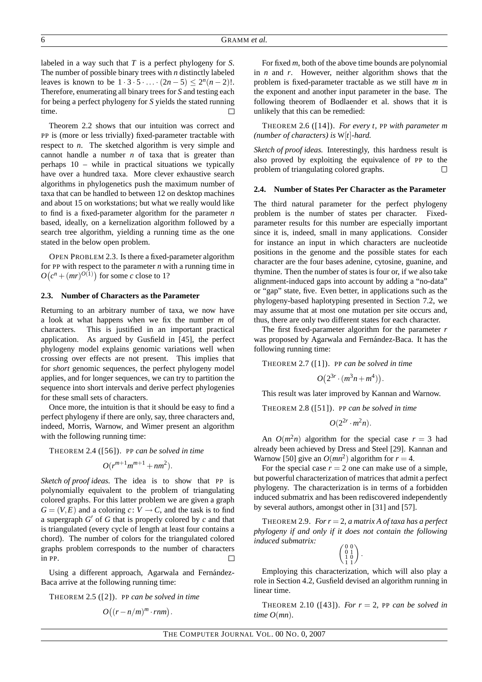labeled in a way such that *T* is a perfect phylogeny for *S*. The number of possible binary trees with *n* distinctly labeled leaves is known to be  $1 \cdot 3 \cdot 5 \cdot ... \cdot (2n-5) \leq 2^n(n-2)!$ . Therefore, enumerating all binary trees for *S* and testing each for being a perfect phylogeny for *S* yields the stated running time.  $\Box$ 

Theorem 2.2 shows that our intuition was correct and PP is (more or less trivially) fixed-parameter tractable with respect to *n*. The sketched algorithm is very simple and cannot handle a number *n* of taxa that is greater than perhaps 10 – while in practical situations we typically have over a hundred taxa. More clever exhaustive search algorithms in phylogenetics push the maximum number of taxa that can be handled to between 12 on desktop machines and about 15 on workstations; but what we really would like to find is a fixed-parameter algorithm for the parameter *n* based, ideally, on a kernelization algorithm followed by a search tree algorithm, yielding a running time as the one stated in the below open problem.

OPEN PROBLEM 2.3. Is there a fixed-parameter algorithm for PP with respect to the parameter  $n$  with a running time in  $O(c^n + (mr)^{O(1)})$  for some *c* close to 1?

#### **2.3. Number of Characters as the Parameter**

Returning to an arbitrary number of taxa, we now have a look at what happens when we fix the number *m* of characters. This is justified in an important practical application. As argued by Gusfield in [45], the perfect phylogeny model explains genomic variations well when crossing over effects are not present. This implies that for *short* genomic sequences, the perfect phylogeny model applies, and for longer sequences, we can try to partition the sequence into short intervals and derive perfect phylogenies for these small sets of characters.

Once more, the intuition is that it should be easy to find a perfect phylogeny if there are only, say, three characters and, indeed, Morris, Warnow, and Wimer present an algorithm with the following running time:

THEOREM 2.4 
$$
(56]
$$
. PP can be solved in time

$$
O(r^{m+1}m^{m+1}+nm^2).
$$

*Sketch of proof ideas.* The idea is to show that PP is polynomially equivalent to the problem of triangulating colored graphs. For this latter problem we are given a graph  $G = (V, E)$  and a coloring  $c: V \rightarrow C$ , and the task is to find a supergraph  $G'$  of  $G$  that is properly colored by  $c$  and that is triangulated (every cycle of length at least four contains a chord). The number of colors for the triangulated colored graphs problem corresponds to the number of characters in PP. П

Using a different approach, Agarwala and Fernández-Baca arrive at the following running time:

THEOREM 2.5 ([2]). PP *can be solved in time*

$$
O((r - n/m)^m \cdot rnm).
$$

For fixed *m*, both of the above time bounds are polynomial in *n* and *r*. However, neither algorithm shows that the problem is fixed-parameter tractable as we still have *m* in the exponent and another input parameter in the base. The following theorem of Bodlaender et al. shows that it is unlikely that this can be remedied:

THEOREM 2.6 ([14]). *For every t,* PP *with parameter m (number of characters) is* W[*t*]*-hard.*

*Sketch of proof ideas.* Interestingly, this hardness result is also proved by exploiting the equivalence of PP to the problem of triangulating colored graphs.  $\Box$ 

#### **2.4. Number of States Per Character as the Parameter**

The third natural parameter for the perfect phylogeny problem is the number of states per character. Fixedparameter results for this number are especially important since it is, indeed, small in many applications. Consider for instance an input in which characters are nucleotide positions in the genome and the possible states for each character are the four bases adenine, cytosine, guanine, and thymine. Then the number of states is four or, if we also take alignment-induced gaps into account by adding a "no-data" or "gap" state, five. Even better, in applications such as the phylogeny-based haplotyping presented in Section 7.2, we may assume that at most one mutation per site occurs and, thus, there are only two different states for each character.

The first fixed-parameter algorithm for the parameter *r* was proposed by Agarwala and Fernández-Baca. It has the following running time:

THEOREM 2.7 ([1]). PP *can be solved in time*

$$
O(2^{3r} \cdot (m^3n + m^4)).
$$

This result was later improved by Kannan and Warnow.

THEOREM 2.8 ([51]). PP *can be solved in time*

$$
O(2^{2r} \cdot m^2 n).
$$

An  $O(m^2n)$  algorithm for the special case  $r = 3$  had already been achieved by Dress and Steel [29]. Kannan and Warnow [50] give an  $O(mn^2)$  algorithm for  $r = 4$ .

For the special case  $r = 2$  one can make use of a simple, but powerful characterization of matrices that admit a perfect phylogeny. The characterization is in terms of a forbidden induced submatrix and has been rediscovered independently by several authors, amongst other in [31] and [57].

THEOREM 2.9. *For r* = 2*, a matrix A of taxa has a perfect phylogeny if and only if it does not contain the following induced submatrix:*

$$
\left(\begin{smallmatrix} 0 & 0 \\ 0 & 1 \\ 1 & 0 \\ 1 & 1 \end{smallmatrix}\right).
$$

Employing this characterization, which will also play a role in Section 4.2, Gusfield devised an algorithm running in linear time.

THEOREM 2.10 ([43]). *For*  $r = 2$ , *PP can be solved in time O*(*mn*)*.*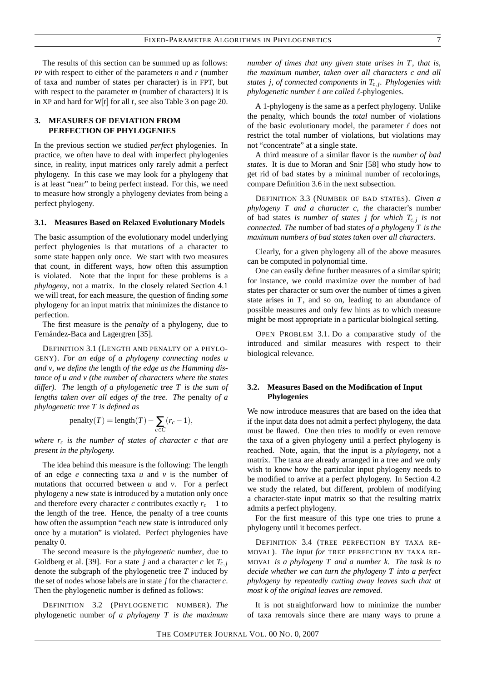The results of this section can be summed up as follows: PP with respect to either of the parameters *n* and *r* (number of taxa and number of states per character) is in FPT, but with respect to the parameter *m* (number of characters) it is in XP and hard for W[*t*] for all *t*, see also Table 3 on page 20.

# **3. MEASURES OF DEVIATION FROM PERFECTION OF PHYLOGENIES**

In the previous section we studied *perfect* phylogenies. In practice, we often have to deal with imperfect phylogenies since, in reality, input matrices only rarely admit a perfect phylogeny. In this case we may look for a phylogeny that is at least "near" to being perfect instead. For this, we need to measure how strongly a phylogeny deviates from being a perfect phylogeny.

## **3.1. Measures Based on Relaxed Evolutionary Models**

The basic assumption of the evolutionary model underlying perfect phylogenies is that mutations of a character to some state happen only once. We start with two measures that count, in different ways, how often this assumption is violated. Note that the input for these problems is a *phylogeny*, not a matrix. In the closely related Section 4.1 we will treat, for each measure, the question of finding *some* phylogeny for an input matrix that minimizes the distance to perfection.

The first measure is the *penalty* of a phylogeny, due to Fernández-Baca and Lagergren [35].

DEFINITION 3.1 (LENGTH AND PENALTY OF A PHYLO-GENY). *For an edge of a phylogeny connecting nodes u and v, we define the* length *of the edge as the Hamming distance of u and v (the number of characters where the states differ). The* length *of a phylogenetic tree T is the sum of lengths taken over all edges of the tree. The* penalty *of a phylogenetic tree T is defined as*

penalty
$$
(T)
$$
 = length $(T) - \sum_{c \in C} (r_c - 1)$ ,

*where r<sup>c</sup> is the number of states of character c that are present in the phylogeny.*

The idea behind this measure is the following: The length of an edge *e* connecting taxa *u* and *v* is the number of mutations that occurred between *u* and *v*. For a perfect phylogeny a new state is introduced by a mutation only once and therefore every character *c* contributes exactly  $r_c - 1$  to the length of the tree. Hence, the penalty of a tree counts how often the assumption "each new state is introduced only once by a mutation" is violated. Perfect phylogenies have penalty 0.

The second measure is the *phylogenetic number*, due to Goldberg et al. [39]. For a state *j* and a character *c* let  $T_{c,i}$ denote the subgraph of the phylogenetic tree *T* induced by the set of nodes whose labels are in state *j* for the character *c*. Then the phylogenetic number is defined as follows:

DEFINITION 3.2 (PHYLOGENETIC NUMBER). *The* phylogenetic number *of a phylogeny T is the maximum* *number of times that any given state arises in T, that is, the maximum number, taken over all characters c and all states j, of connected components in Tc*, *<sup>j</sup> . Phylogenies with phylogenetic number*  $\ell$  *are called*  $\ell$ -phylogenies.

A 1-phylogeny is the same as a perfect phylogeny. Unlike the penalty, which bounds the *total* number of violations of the basic evolutionary model, the parameter  $\ell$  does not restrict the total number of violations, but violations may not "concentrate" at a single state.

A third measure of a similar flavor is the *number of bad states*. It is due to Moran and Snir [58] who study how to get rid of bad states by a minimal number of recolorings, compare Definition 3.6 in the next subsection.

DEFINITION 3.3 (NUMBER OF BAD STATES). *Given a phylogeny T and a character c, the* character's number of bad states *is number of states j for which T<sub>c,j</sub> is not connected. The* number of bad states *of a phylogeny T is the maximum numbers of bad states taken over all characters.*

Clearly, for a given phylogeny all of the above measures can be computed in polynomial time.

One can easily define further measures of a similar spirit; for instance, we could maximize over the number of bad states per character or sum over the number of times a given state arises in *T*, and so on, leading to an abundance of possible measures and only few hints as to which measure might be most appropriate in a particular biological setting.

OPEN PROBLEM 3.1. Do a comparative study of the introduced and similar measures with respect to their biological relevance.

## **3.2. Measures Based on the Modification of Input Phylogenies**

We now introduce measures that are based on the idea that if the input data does not admit a perfect phylogeny, the data must be flawed. One then tries to modify or even remove the taxa of a given phylogeny until a perfect phylogeny is reached. Note, again, that the input is a *phylogeny*, not a matrix. The taxa are already arranged in a tree and we only wish to know how the particular input phylogeny needs to be modified to arrive at a perfect phylogeny. In Section 4.2 we study the related, but different, problem of modifying a character-state input matrix so that the resulting matrix admits a perfect phylogeny.

For the first measure of this type one tries to prune a phylogeny until it becomes perfect.

DEFINITION 3.4 (TREE PERFECTION BY TAXA RE-MOVAL). *The input for* TREE PERFECTION BY TAXA RE-MOVAL *is a phylogeny T and a number k. The task is to decide whether we can turn the phylogeny T into a perfect phylogeny by repeatedly cutting away leaves such that at most k of the original leaves are removed.*

It is not straightforward how to minimize the number of taxa removals since there are many ways to prune a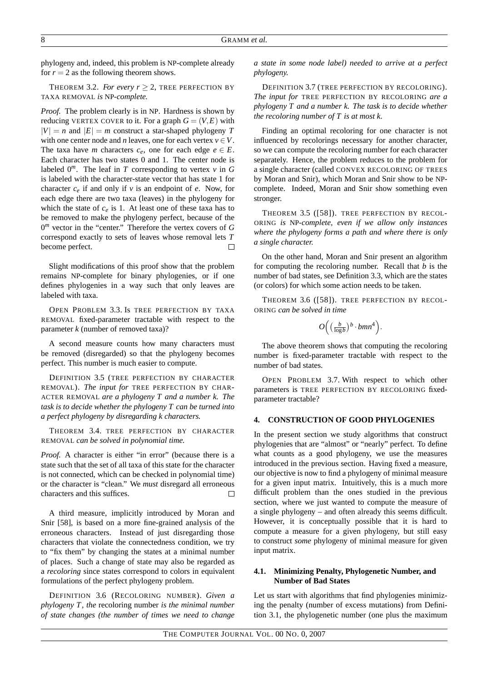phylogeny and, indeed, this problem is NP-complete already for  $r = 2$  as the following theorem shows.

THEOREM 3.2. *For every*  $r \geq 2$ *, TREE PERFECTION BY* TAXA REMOVAL *is* NP*-complete.*

*Proof.* The problem clearly is in NP. Hardness is shown by reducing VERTEX COVER to it. For a graph  $G = (V, E)$  with  $|V| = n$  and  $|E| = m$  construct a star-shaped phylogeny *T* with one center node and *n* leaves, one for each vertex  $v \in V$ . The taxa have *m* characters  $c_e$ , one for each edge  $e \in E$ . Each character has two states 0 and 1. The center node is labeled  $0^m$ . The leaf in *T* corresponding to vertex  $v$  in *G* is labeled with the character-state vector that has state 1 for character  $c_e$  if and only if  $v$  is an endpoint of  $e$ . Now, for each edge there are two taxa (leaves) in the phylogeny for which the state of  $c_e$  is 1. At least one of these taxa has to be removed to make the phylogeny perfect, because of the 0 *<sup>m</sup>* vector in the "center." Therefore the vertex covers of *G* correspond exactly to sets of leaves whose removal lets *T* become perfect.  $\Box$ 

Slight modifications of this proof show that the problem remains NP-complete for binary phylogenies, or if one defines phylogenies in a way such that only leaves are labeled with taxa.

OPEN PROBLEM 3.3. Is TREE PERFECTION BY TAXA REMOVAL fixed-parameter tractable with respect to the parameter *k* (number of removed taxa)?

A second measure counts how many characters must be removed (disregarded) so that the phylogeny becomes perfect. This number is much easier to compute.

DEFINITION 3.5 (TREE PERFECTION BY CHARACTER REMOVAL). *The input for* TREE PERFECTION BY CHAR-ACTER REMOVAL *are a phylogeny T and a number k. The task is to decide whether the phylogeny T can be turned into a perfect phylogeny by disregarding k characters.*

THEOREM 3.4. TREE PERFECTION BY CHARACTER REMOVAL *can be solved in polynomial time.*

*Proof.* A character is either "in error" (because there is a state such that the set of all taxa of this state for the character is not connected, which can be checked in polynomial time) or the character is "clean." We *must* disregard all erroneous characters and this suffices.  $\Box$ 

A third measure, implicitly introduced by Moran and Snir [58], is based on a more fine-grained analysis of the erroneous characters. Instead of just disregarding those characters that violate the connectedness condition, we try to "fix them" by changing the states at a minimal number of places. Such a change of state may also be regarded as a *recoloring* since states correspond to colors in equivalent formulations of the perfect phylogeny problem.

DEFINITION 3.6 (RECOLORING NUMBER). *Given a phylogeny T , the* recoloring number *is the minimal number of state changes (the number of times we need to change*

*a state in some node label) needed to arrive at a perfect phylogeny.*

DEFINITION 3.7 (TREE PERFECTION BY RECOLORING). *The input for* TREE PERFECTION BY RECOLORING *are a phylogeny T and a number k. The task is to decide whether the recoloring number of T is at most k.*

Finding an optimal recoloring for one character is not influenced by recolorings necessary for another character, so we can compute the recoloring number for each character separately. Hence, the problem reduces to the problem for a single character (called CONVEX RECOLORING OF TREES by Moran and Snir), which Moran and Snir show to be NPcomplete. Indeed, Moran and Snir show something even stronger.

THEOREM 3.5 ([58]). TREE PERFECTION BY RECOL-ORING *is* NP*-complete, even if we allow only instances where the phylogeny forms a path and where there is only a single character.*

On the other hand, Moran and Snir present an algorithm for computing the recoloring number. Recall that *b* is the number of bad states, see Definition 3.3, which are the states (or colors) for which some action needs to be taken.

THEOREM 3.6 ([58]). TREE PERFECTION BY RECOL-ORING *can be solved in time*

$$
O\Big(\big(\tfrac{b}{\log b}\big)^b \cdot bmn^4\Big).
$$

The above theorem shows that computing the recoloring number is fixed-parameter tractable with respect to the number of bad states.

OPEN PROBLEM 3.7. With respect to which other parameters is TREE PERFECTION BY RECOLORING fixedparameter tractable?

# **4. CONSTRUCTION OF GOOD PHYLOGENIES**

In the present section we study algorithms that construct phylogenies that are "almost" or "nearly" perfect. To define what counts as a good phylogeny, we use the measures introduced in the previous section. Having fixed a measure, our objective is now to find a phylogeny of minimal measure for a given input matrix. Intuitively, this is a much more difficult problem than the ones studied in the previous section, where we just wanted to compute the measure of a single phylogeny – and often already this seems difficult. However, it is conceptually possible that it is hard to compute a measure for a given phylogeny, but still easy to construct *some* phylogeny of minimal measure for given input matrix.

# **4.1. Minimizing Penalty, Phylogenetic Number, and Number of Bad States**

Let us start with algorithms that find phylogenies minimizing the penalty (number of excess mutations) from Definition 3.1, the phylogenetic number (one plus the maximum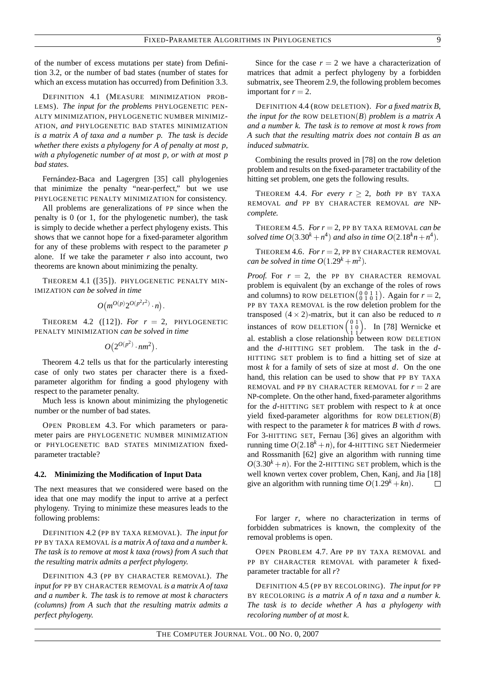of the number of excess mutations per state) from Definition 3.2, or the number of bad states (number of states for which an excess mutation has occurred) from Definition 3.3.

DEFINITION 4.1 (MEASURE MINIMIZATION PROB-LEMS). *The input for the problems* PHYLOGENETIC PEN-ALTY MINIMIZATION*,* PHYLOGENETIC NUMBER MINIMIZ-ATION*, and* PHYLOGENETIC BAD STATES MINIMIZATION *is a matrix A of taxa and a number p. The task is decide whether there exists a phylogeny for A of penalty at most p, with a phylogenetic number of at most p, or with at most p bad states.*

Fernández-Baca and Lagergren [35] call phylogenies that minimize the penalty "near-perfect," but we use PHYLOGENETIC PENALTY MINIMIZATION for consistency.

All problems are generalizations of PP since when the penalty is 0 (or 1, for the phylogenetic number), the task is simply to decide whether a perfect phylogeny exists. This shows that we cannot hope for a fixed-parameter algorithm for any of these problems with respect to the parameter *p* alone. If we take the parameter *r* also into account, two theorems are known about minimizing the penalty.

THEOREM 4.1 ([35]). PHYLOGENETIC PENALTY MIN-IMIZATION *can be solved in time*

$$
O(m^{O(p)}2^{O(p^2r^2)}\cdot n).
$$

THEOREM 4.2 ([12]). For  $r = 2$ , PHYLOGENETIC PENALTY MINIMIZATION *can be solved in time*

$$
O(2^{O(p^2)} \cdot nm^2).
$$

Theorem 4.2 tells us that for the particularly interesting case of only two states per character there is a fixedparameter algorithm for finding a good phylogeny with respect to the parameter penalty.

Much less is known about minimizing the phylogenetic number or the number of bad states.

OPEN PROBLEM 4.3. For which parameters or parameter pairs are PHYLOGENETIC NUMBER MINIMIZATION or PHYLOGENETIC BAD STATES MINIMIZATION fixedparameter tractable?

#### **4.2. Minimizing the Modification of Input Data**

The next measures that we considered were based on the idea that one may modify the input to arrive at a perfect phylogeny. Trying to minimize these measures leads to the following problems:

DEFINITION 4.2 (PP BY TAXA REMOVAL). *The input for* PP BY TAXA REMOVAL *is a matrix A of taxa and a number k. The task is to remove at most k taxa (rows) from A such that the resulting matrix admits a perfect phylogeny.*

DEFINITION 4.3 (PP BY CHARACTER REMOVAL). *The input for* PP BY CHARACTER REMOVAL *is a matrix A of taxa and a number k. The task is to remove at most k characters (columns) from A such that the resulting matrix admits a perfect phylogeny.*

Since for the case  $r = 2$  we have a characterization of matrices that admit a perfect phylogeny by a forbidden submatrix, see Theorem 2.9, the following problem becomes important for  $r = 2$ .

DEFINITION 4.4 (ROW DELETION). *For a fixed matrix B, the input for the* ROW DELETION(*B*) *problem is a matrix A and a number k. The task is to remove at most k rows from A such that the resulting matrix does not contain B as an induced submatrix.*

Combining the results proved in [78] on the row deletion problem and results on the fixed-parameter tractability of the hitting set problem, one gets the following results.

THEOREM 4.4. For every  $r \geq 2$ , both PP BY TAXA REMOVAL *and* PP BY CHARACTER REMOVAL *are* NP*complete.*

THEOREM 4.5. *For*  $r = 2$ *, PP BY TAXA REMOVAL can be solved time*  $O(3.30^{k} + n^{4})$  *and also in time*  $O(2.18^{k}n + n^{4})$ *.* 

THEOREM 4.6. *For*  $r = 2$ , PP BY CHARACTER REMOVAL *can be solved in time*  $O(1.29^k + m^2)$ *.* 

*Proof.* For  $r = 2$ , the PP BY CHARACTER REMOVAL problem is equivalent (by an exchange of the roles of rows and columns) to ROW DELETION $\begin{pmatrix} 0 & 0 & 1 & 1 \\ 0 & 1 & 0 & 1 \end{pmatrix}$ . Again for  $r = 2$ , PP BY TAXA REMOVAL is the row deletion problem for the transposed  $(4 \times 2)$ -matrix, but it can also be reduced to *n* instances of ROW DELETION  $\begin{pmatrix} 0 & 1 \\ 1 & 0 \\ 1 & 1 \end{pmatrix}$  . In [78] Wernicke et al. establish a close relationship between ROW DELETION and the *d*-HITTING SET problem. The task in the *d*-HITTING SET problem is to find a hitting set of size at most *k* for a family of sets of size at most *d*. On the one hand, this relation can be used to show that PP BY TAXA REMOVAL and PP BY CHARACTER REMOVAL for  $r = 2$  are NP-complete. On the other hand, fixed-parameter algorithms for the *d*-HITTING SET problem with respect to *k* at once yield fixed-parameter algorithms for ROW DELETION( $B$ ) with respect to the parameter *k* for matrices *B* with *d* rows. For 3-HITTING SET, Fernau [36] gives an algorithm with running time  $O(2.18^k + n)$ , for 4-HITTING SET Niedermeier and Rossmanith [62] give an algorithm with running time  $O(3.30^k + n)$ . For the 2-HITTING SET problem, which is the well known vertex cover problem, Chen, Kanj, and Jia [18] give an algorithm with running time  $O(1.29^k + kn)$ .

For larger *r*, where no characterization in terms of forbidden submatrices is known, the complexity of the removal problems is open.

OPEN PROBLEM 4.7. Are PP BY TAXA REMOVAL and PP BY CHARACTER REMOVAL with parameter *k* fixedparameter tractable for all *r*?

DEFINITION 4.5 (PP BY RECOLORING). *The input for* PP BY RECOLORING *is a matrix A of n taxa and a number k. The task is to decide whether A has a phylogeny with recoloring number of at most k.*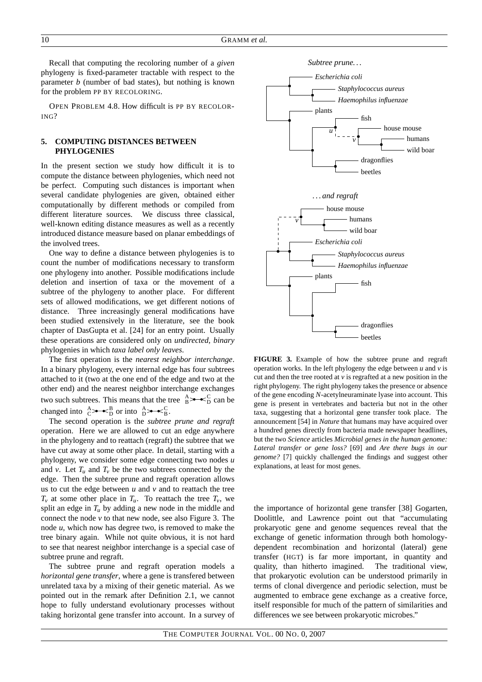Recall that computing the recoloring number of a *given* phylogeny is fixed-parameter tractable with respect to the parameter *b* (number of bad states), but nothing is known for the problem PP BY RECOLORING.

OPEN PROBLEM 4.8. How difficult is PP BY RECOLOR-ING?

# **5. COMPUTING DISTANCES BETWEEN PHYLOGENIES**

In the present section we study how difficult it is to compute the distance between phylogenies, which need not be perfect. Computing such distances is important when several candidate phylogenies are given, obtained either computationally by different methods or compiled from different literature sources. We discuss three classical, well-known editing distance measures as well as a recently introduced distance measure based on planar embeddings of the involved trees.

One way to define a distance between phylogenies is to count the number of modifications necessary to transform one phylogeny into another. Possible modifications include deletion and insertion of taxa or the movement of a subtree of the phylogeny to another place. For different sets of allowed modifications, we get different notions of distance. Three increasingly general modifications have been studied extensively in the literature, see the book chapter of DasGupta et al. [24] for an entry point. Usually these operations are considered only on *undirected, binary* phylogenies in which *taxa label only leaves*.

The first operation is the *nearest neighbor interchange*. In a binary phylogeny, every internal edge has four subtrees attached to it (two at the one end of the edge and two at the other end) and the nearest neighbor interchange exchanges two such subtrees. This means that the tree  ${}^A_B \rightarrow \llcorner C$  can be changed into  $^{A}_{C}$   $\rightarrow$   $\ll$   $^{B}_{D}$  or into  $^{A}_{D}$   $\rightarrow$   $\ll$   $^{C}_{B}$ .

The second operation is the *subtree prune and regraft* operation. Here we are allowed to cut an edge anywhere in the phylogeny and to reattach (regraft) the subtree that we have cut away at some other place. In detail, starting with a phylogeny, we consider some edge connecting two nodes *u* and *v*. Let  $T_u$  and  $T_v$  be the two subtrees connected by the edge. Then the subtree prune and regraft operation allows us to cut the edge between *u* and *v* and to reattach the tree  $T_v$  at some other place in  $T_u$ . To reattach the tree  $T_v$ , we split an edge in  $T<sub>u</sub>$  by adding a new node in the middle and connect the node *v* to that new node, see also Figure 3. The node *u*, which now has degree two, is removed to make the tree binary again. While not quite obvious, it is not hard to see that nearest neighbor interchange is a special case of subtree prune and regraft.

The subtree prune and regraft operation models a *horizontal gene transfer*, where a gene is transfered between unrelated taxa by a mixing of their genetic material. As we pointed out in the remark after Definition 2.1, we cannot hope to fully understand evolutionary processes without taking horizontal gene transfer into account. In a survey of



**FIGURE 3.** Example of how the subtree prune and regraft operation works. In the left phylogeny the edge between  $u$  and  $v$  is cut and then the tree rooted at *v* is regrafted at a new position in the right phylogeny. The right phylogeny takes the presence or absence of the gene encoding *N*-acetylneuraminate lyase into account. This gene is present in vertebrates and bacteria but not in the other taxa, suggesting that a horizontal gene transfer took place. The announcement [54] in *Nature* that humans may have acquired over a hundred genes directly from bacteria made newspaper headlines, but the two *Science* articles *Microbial genes in the human genome: Lateral transfer or gene loss?* [69] and *Are there bugs in our genome?* [7] quickly challenged the findings and suggest other explanations, at least for most genes.

the importance of horizontal gene transfer [38] Gogarten, Doolittle, and Lawrence point out that "accumulating prokaryotic gene and genome sequences reveal that the exchange of genetic information through both homologydependent recombination and horizontal (lateral) gene transfer (HGT) is far more important, in quantity and quality, than hitherto imagined. The traditional view, that prokaryotic evolution can be understood primarily in terms of clonal divergence and periodic selection, must be augmented to embrace gene exchange as a creative force, itself responsible for much of the pattern of similarities and differences we see between prokaryotic microbes."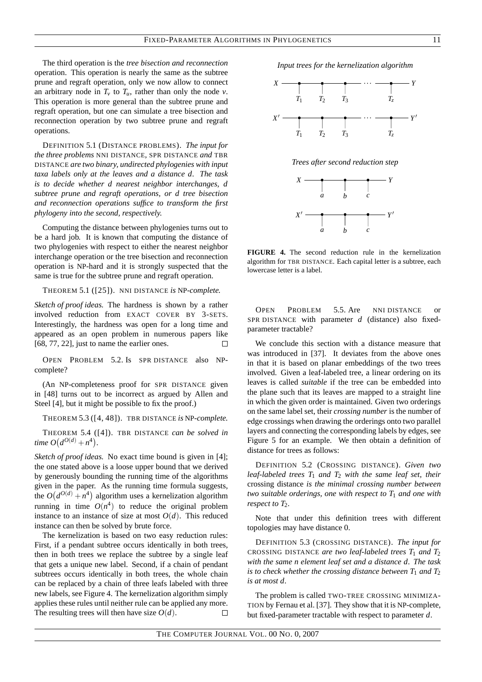The third operation is the *tree bisection and reconnection* operation. This operation is nearly the same as the subtree prune and regraft operation, only we now allow to connect an arbitrary node in  $T_v$  to  $T_u$ , rather than only the node  $v$ . This operation is more general than the subtree prune and regraft operation, but one can simulate a tree bisection and reconnection operation by two subtree prune and regraft operations.

DEFINITION 5.1 (DISTANCE PROBLEMS). *The input for the three problems* NNI DISTANCE*,* SPR DISTANCE *and* TBR DISTANCE *are two binary, undirected phylogenies with input taxa labels only at the leaves and a distance d. The task is to decide whether d nearest neighbor interchanges, d subtree prune and regraft operations, or d tree bisection and reconnection operations suffice to transform the first phylogeny into the second, respectively.*

Computing the distance between phylogenies turns out to be a hard job. It is known that computing the distance of two phylogenies with respect to either the nearest neighbor interchange operation or the tree bisection and reconnection operation is NP-hard and it is strongly suspected that the same is true for the subtree prune and regraft operation.

THEOREM 5.1 ([25]). NNI DISTANCE *is* NP*-complete.*

*Sketch of proof ideas.* The hardness is shown by a rather involved reduction from EXACT COVER BY 3-SETS. Interestingly, the hardness was open for a long time and appeared as an open problem in numerous papers like [68, 77, 22], just to name the earlier ones.  $\Box$ 

OPEN PROBLEM 5.2. Is SPR DISTANCE also NPcomplete?

(An NP-completeness proof for SPR DISTANCE given in [48] turns out to be incorrect as argued by Allen and Steel [4], but it might be possible to fix the proof.)

THEOREM 5.3 ([4, 48]). TBR DISTANCE *is* NP*-complete.*

THEOREM 5.4 ([4]). TBR DISTANCE *can be solved in time*  $O(d^{O(d)} + n^4)$ .

*Sketch of proof ideas.* No exact time bound is given in [4]; the one stated above is a loose upper bound that we derived by generously bounding the running time of the algorithms given in the paper. As the running time formula suggests, the  $O(d^{O(d)} + n^4)$  algorithm uses a kernelization algorithm running in time  $O(n^4)$  to reduce the original problem instance to an instance of size at most  $O(d)$ . This reduced instance can then be solved by brute force.

The kernelization is based on two easy reduction rules: First, if a pendant subtree occurs identically in both trees, then in both trees we replace the subtree by a single leaf that gets a unique new label. Second, if a chain of pendant subtrees occurs identically in both trees, the whole chain can be replaced by a chain of three leafs labeled with three new labels, see Figure 4. The kernelization algorithm simply applies these rules until neither rule can be applied any more. The resulting trees will then have size  $O(d)$ . П *Input trees for the kernelization algorithm*



*Trees after second reduction step*



**FIGURE 4.** The second reduction rule in the kernelization algorithm for TBR DISTANCE. Each capital letter is a subtree, each lowercase letter is a label.

OPEN PROBLEM 5.5. Are NNI DISTANCE or SPR DISTANCE with parameter *d* (distance) also fixedparameter tractable?

We conclude this section with a distance measure that was introduced in [37]. It deviates from the above ones in that it is based on planar embeddings of the two trees involved. Given a leaf-labeled tree, a linear ordering on its leaves is called *suitable* if the tree can be embedded into the plane such that its leaves are mapped to a straight line in which the given order is maintained. Given two orderings on the same label set, their *crossing number* is the number of edge crossings when drawing the orderings onto two parallel layers and connecting the corresponding labels by edges, see Figure 5 for an example. We then obtain a definition of distance for trees as follows:

DEFINITION 5.2 (CROSSING DISTANCE). *Given two leaf-labeled trees T*<sup>1</sup> *and T*<sup>2</sup> *with the same leaf set, their* crossing distance *is the minimal crossing number between two suitable orderings, one with respect to T*<sup>1</sup> *and one with respect to T<sub>2</sub>.* 

Note that under this definition trees with different topologies may have distance 0.

DEFINITION 5.3 (CROSSING DISTANCE). *The input for* CROSSING DISTANCE *are two leaf-labeled trees T*<sup>1</sup> *and T*<sup>2</sup> *with the same n element leaf set and a distance d. The task is to check whether the crossing distance between*  $T_1$  *and*  $T_2$ *is at most d.*

The problem is called TWO-TREE CROSSING MINIMIZA-TION by Fernau et al. [37]. They show that it is NP-complete, but fixed-parameter tractable with respect to parameter *d*.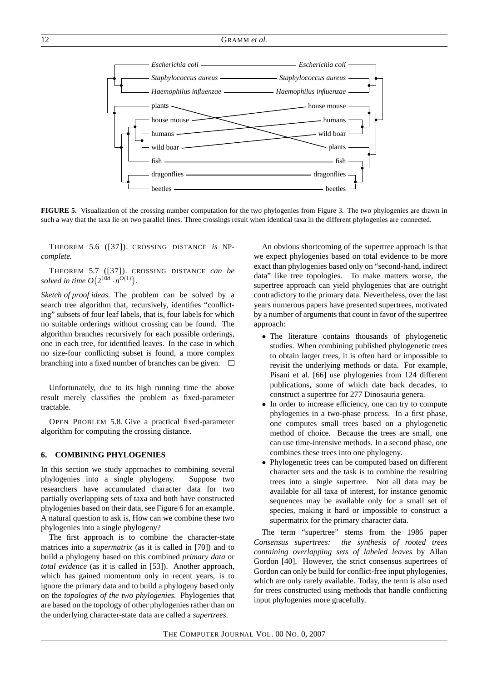

**FIGURE 5.** Visualization of the crossing number computation for the two phylogenies from Figure 3. The two phylogenies are drawn in such a way that the taxa lie on two parallel lines. Three crossings result when identical taxa in the different phylogenies are connected.

THEOREM 5.6 ([37]). CROSSING DISTANCE *is* NP*complete.*

THEOREM 5.7 ([37]). CROSSING DISTANCE *can be* solved in time  $O(2^{10d} \cdot n^{O(1)})$ .

*Sketch of proof ideas.* The problem can be solved by a search tree algorithm that, recursively, identifies "conflicting" subsets of four leaf labels, that is, four labels for which no suitable orderings without crossing can be found. The algorithm branches recursively for each possible orderings, one in each tree, for identified leaves. In the case in which no size-four conflicting subset is found, a more complex branching into a fixed number of branches can be given.

Unfortunately, due to its high running time the above result merely classifies the problem as fixed-parameter tractable.

OPEN PROBLEM 5.8. Give a practical fixed-parameter algorithm for computing the crossing distance.

# **6. COMBINING PHYLOGENIES**

In this section we study approaches to combining several phylogenies into a single phylogeny. Suppose two researchers have accumulated character data for two partially overlapping sets of taxa and both have constructed phylogenies based on their data, see Figure 6 for an example. A natural question to ask is, How can we combine these two phylogenies into a single phylogeny?

The first approach is to combine the character-state matrices into a *supermatrix* (as it is called in [70]) and to build a phylogeny based on this combined *primary data* or *total evidence* (as it is called in [53]). Another approach, which has gained momentum only in recent years, is to ignore the primary data and to build a phylogeny based only on the *topologies of the two phylogenies.* Phylogenies that are based on the topology of other phylogenies rather than on the underlying character-state data are called a *supertrees.*

An obvious shortcoming of the supertree approach is that we expect phylogenies based on total evidence to be more exact than phylogenies based only on "second-hand, indirect data" like tree topologies. To make matters worse, the supertree approach can yield phylogenies that are outright contradictory to the primary data. Nevertheless, over the last years numerous papers have presented supertrees, motivated by a number of arguments that count in favor of the supertree approach:

- The literature contains thousands of phylogenetic studies. When combining published phylogenetic trees to obtain larger trees, it is often hard or impossible to revisit the underlying methods or data. For example, Pisani et al. [66] use phylogenies from 124 different publications, some of which date back decades, to construct a supertree for 277 Dinosauria genera.
- In order to increase efficiency, one can try to compute phylogenies in a two-phase process. In a first phase, one computes small trees based on a phylogenetic method of choice. Because the trees are small, one can use time-intensive methods. In a second phase, one combines these trees into one phylogeny.
- Phylogenetic trees can be computed based on different character sets and the task is to combine the resulting trees into a single supertree. Not all data may be available for all taxa of interest, for instance genomic sequences may be available only for a small set of species, making it hard or impossible to construct a supermatrix for the primary character data.

The term "supertree" stems from the 1986 paper *Consensus supertrees: the synthesis of rooted trees containing overlapping sets of labeled leaves* by Allan Gordon [40]. However, the strict consensus supertrees of Gordon can only be build for conflict-free input phylogenies, which are only rarely available. Today, the term is also used for trees constructed using methods that handle conflicting input phylogenies more gracefully.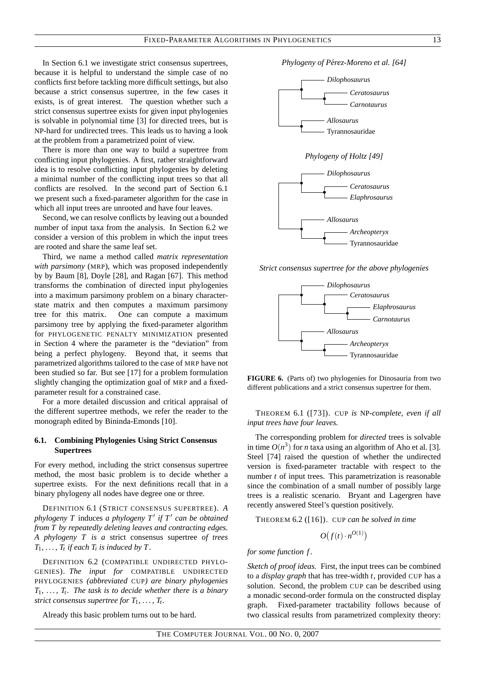In Section 6.1 we investigate strict consensus supertrees, because it is helpful to understand the simple case of no conflicts first before tackling more difficult settings, but also because a strict consensus supertree, in the few cases it exists, is of great interest. The question whether such a strict consensus supertree exists for given input phylogenies is solvable in polynomial time [3] for directed trees, but is NP-hard for undirected trees. This leads us to having a look at the problem from a parametrized point of view.

There is more than one way to build a supertree from conflicting input phylogenies. A first, rather straightforward idea is to resolve conflicting input phylogenies by deleting a minimal number of the conflicting input trees so that all conflicts are resolved. In the second part of Section 6.1 we present such a fixed-parameter algorithm for the case in which all input trees are unrooted and have four leaves.

Second, we can resolve conflicts by leaving out a bounded number of input taxa from the analysis. In Section 6.2 we consider a version of this problem in which the input trees are rooted and share the same leaf set.

Third, we name a method called *matrix representation with parsimony* (MRP), which was proposed independently by by Baum [8], Doyle [28], and Ragan [67]. This method transforms the combination of directed input phylogenies into a maximum parsimony problem on a binary characterstate matrix and then computes a maximum parsimony tree for this matrix. One can compute a maximum parsimony tree by applying the fixed-parameter algorithm for PHYLOGENETIC PENALTY MINIMIZATION presented in Section 4 where the parameter is the "deviation" from being a perfect phylogeny. Beyond that, it seems that parametrized algorithms tailored to the case of MRP have not been studied so far. But see [17] for a problem formulation slightly changing the optimization goal of MRP and a fixedparameter result for a constrained case.

For a more detailed discussion and critical appraisal of the different supertree methods, we refer the reader to the monograph edited by Bininda-Emonds [10].

# **6.1. Combining Phylogenies Using Strict Consensus Supertrees**

For every method, including the strict consensus supertree method, the most basic problem is to decide whether a supertree exists. For the next definitions recall that in a binary phylogeny all nodes have degree one or three.

DEFINITION 6.1 (STRICT CONSENSUS SUPERTREE). *A phylogeny T* induces *a phylogeny T*<sup>0</sup> *if T*<sup>0</sup> *can be obtained from T by repeatedly deleting leaves and contracting edges. A phylogeny T is a* strict consensus supertree *of trees*  $T_1, \ldots, T_t$  *if each*  $T_i$  *is induced by*  $T$ .

DEFINITION 6.2 (COMPATIBLE UNDIRECTED PHYLO-GENIES). *The input for* COMPATIBLE UNDIRECTED PHYLOGENIES *(abbreviated* CUP*) are binary phylogenies T*1*, . . . , T<sup>t</sup> . The task is to decide whether there is a binary strict consensus supertree for T*1*, . . . , T<sup>t</sup> .*

Already this basic problem turns out to be hard.



*Strict consensus supertree for the above phylogenies*



**FIGURE 6.** (Parts of) two phylogenies for Dinosauria from two different publications and a strict consensus supertree for them.

THEOREM 6.1 ([73]). CUP *is* NP*-complete, even if all input trees have four leaves.*

The corresponding problem for *directed* trees is solvable in time  $O(n^3)$  for *n* taxa using an algorithm of Aho et al. [3]. Steel [74] raised the question of whether the undirected version is fixed-parameter tractable with respect to the number *t* of input trees. This parametrization is reasonable since the combination of a small number of possibly large trees is a realistic scenario. Bryant and Lagergren have recently answered Steel's question positively.

THEOREM 6.2 ([16]). CUP *can be solved in time*

 $O(f(t) \cdot n^{O(1)})$ 

#### *for some function f .*

*Sketch of proof ideas.* First, the input trees can be combined to a *display graph* that has tree-width *t*, provided CUP has a solution. Second, the problem CUP can be described using a monadic second-order formula on the constructed display graph. Fixed-parameter tractability follows because of two classical results from parametrized complexity theory:

THE COMPUTER JOURNAL VOL. 00 NO. 0, 2007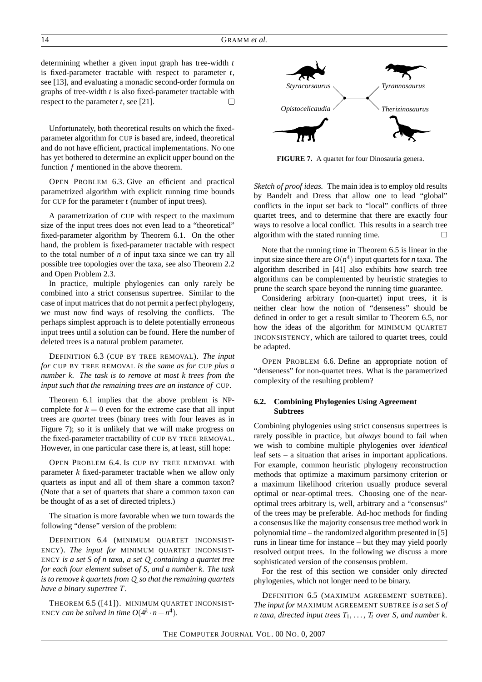determining whether a given input graph has tree-width *t* is fixed-parameter tractable with respect to parameter *t*, see [13], and evaluating a monadic second-order formula on graphs of tree-width *t* is also fixed-parameter tractable with respect to the parameter *t*, see [21].  $\Box$ 

Unfortunately, both theoretical results on which the fixedparameter algorithm for CUP is based are, indeed, theoretical and do not have efficient, practical implementations. No one has yet bothered to determine an explicit upper bound on the function *f* mentioned in the above theorem.

OPEN PROBLEM 6.3. Give an efficient and practical parametrized algorithm with explicit running time bounds for CUP for the parameter *t* (number of input trees).

A parametrization of CUP with respect to the maximum size of the input trees does not even lead to a "theoretical" fixed-parameter algorithm by Theorem 6.1. On the other hand, the problem is fixed-parameter tractable with respect to the total number of *n* of input taxa since we can try all possible tree topologies over the taxa, see also Theorem 2.2 and Open Problem 2.3.

In practice, multiple phylogenies can only rarely be combined into a strict consensus supertree. Similar to the case of input matrices that do not permit a perfect phylogeny, we must now find ways of resolving the conflicts. The perhaps simplest approach is to delete potentially erroneous input trees until a solution can be found. Here the number of deleted trees is a natural problem parameter.

DEFINITION 6.3 (CUP BY TREE REMOVAL). *The input for* CUP BY TREE REMOVAL *is the same as for* CUP *plus a number k. The task is to remove at most k trees from the input such that the remaining trees are an instance of* CUP*.*

Theorem 6.1 implies that the above problem is NPcomplete for  $k = 0$  even for the extreme case that all input trees are *quartet* trees (binary trees with four leaves as in Figure 7); so it is unlikely that we will make progress on the fixed-parameter tractability of CUP BY TREE REMOVAL. However, in one particular case there is, at least, still hope:

OPEN PROBLEM 6.4. Is CUP BY TREE REMOVAL with parameter *k* fixed-parameter tractable when we allow only quartets as input and all of them share a common taxon? (Note that a set of quartets that share a common taxon can be thought of as a set of directed triplets.)

The situation is more favorable when we turn towards the following "dense" version of the problem:

DEFINITION 6.4 (MINIMUM QUARTET INCONSIST-ENCY). *The input for* MINIMUM QUARTET INCONSIST-ENCY *is a set S of n taxa, a set Q containing a quartet tree for each four element subset of S, and a number k. The task is to remove k quartets from Q so that the remaining quartets have a binary supertree T .*

THEOREM 6.5 ([41]). MINIMUM QUARTET INCONSIST-ENCY *can be solved in time*  $O(4^k \cdot n + n^4)$ *.* 



**FIGURE 7.** A quartet for four Dinosauria genera.

*Sketch of proof ideas.* The main idea is to employ old results by Bandelt and Dress that allow one to lead "global" conflicts in the input set back to "local" conflicts of three quartet trees, and to determine that there are exactly four ways to resolve a local conflict. This results in a search tree algorithm with the stated running time.  $\Box$ 

Note that the running time in Theorem 6.5 is linear in the input size since there are  $O(n^4)$  input quartets for *n* taxa. The algorithm described in [41] also exhibits how search tree algorithms can be complemented by heuristic strategies to prune the search space beyond the running time guarantee.

Considering arbitrary (non-quartet) input trees, it is neither clear how the notion of "denseness" should be defined in order to get a result similar to Theorem 6.5, nor how the ideas of the algorithm for MINIMUM QUARTET INCONSISTENCY, which are tailored to quartet trees, could be adapted.

OPEN PROBLEM 6.6. Define an appropriate notion of "denseness" for non-quartet trees. What is the parametrized complexity of the resulting problem?

# **6.2. Combining Phylogenies Using Agreement Subtrees**

Combining phylogenies using strict consensus supertrees is rarely possible in practice, but *always* bound to fail when we wish to combine multiple phylogenies over *identical* leaf sets – a situation that arises in important applications. For example, common heuristic phylogeny reconstruction methods that optimize a maximum parsimony criterion or a maximum likelihood criterion usually produce several optimal or near-optimal trees. Choosing one of the nearoptimal trees arbitrary is, well, arbitrary and a "consensus" of the trees may be preferable. Ad-hoc methods for finding a consensus like the majority consensus tree method work in polynomial time – the randomized algorithm presented in [5] runs in linear time for instance – but they may yield poorly resolved output trees. In the following we discuss a more sophisticated version of the consensus problem.

For the rest of this section we consider only *directed* phylogenies, which not longer need to be binary.

DEFINITION 6.5 (MAXIMUM AGREEMENT SUBTREE). *The input for* MAXIMUM AGREEMENT SUBTREE *is a set S of n taxa, directed input trees T*1*, . . . , T<sup>t</sup> over S, and number k.*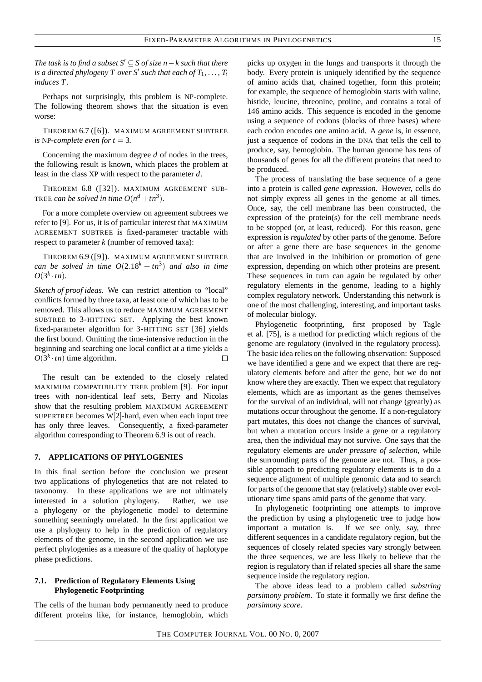*The task is to find a subset*  $S' \subseteq S$  *of size n*−*k such that there* is a directed phylogeny  $T$  over  $S'$  such that each of  $T_1, \ldots, T_t$ *induces T .*

Perhaps not surprisingly, this problem is NP-complete. The following theorem shows that the situation is even worse:

THEOREM 6.7 ([6]). MAXIMUM AGREEMENT SUBTREE *is* NP-complete even for  $t = 3$ .

Concerning the maximum degree *d* of nodes in the trees, the following result is known, which places the problem at least in the class XP with respect to the parameter *d*.

THEOREM 6.8 ([32]). MAXIMUM AGREEMENT SUB-TREE *can be solved in time*  $O(n^d + tn^3)$ *.* 

For a more complete overview on agreement subtrees we refer to [9]. For us, it is of particular interest that MAXIMUM AGREEMENT SUBTREE is fixed-parameter tractable with respect to parameter *k* (number of removed taxa):

THEOREM 6.9 ([9]). MAXIMUM AGREEMENT SUBTREE *can be solved in time*  $O(2.18^k + tn^3)$  *and also in time*  $O(3^k \cdot tn)$ .

*Sketch of proof ideas.* We can restrict attention to "local" conflicts formed by three taxa, at least one of which has to be removed. This allows us to reduce MAXIMUM AGREEMENT SUBTREE to 3-HITTING SET. Applying the best known fixed-parameter algorithm for 3-HITTING SET [36] yields the first bound. Omitting the time-intensive reduction in the beginning and searching one local conflict at a time yields a  $O(3^k \cdot tn)$  time algorithm.  $\Box$ 

The result can be extended to the closely related MAXIMUM COMPATIBILITY TREE problem [9]. For input trees with non-identical leaf sets, Berry and Nicolas show that the resulting problem MAXIMUM AGREEMENT SUPERTREE becomes  $W[2]$ -hard, even when each input tree has only three leaves. Consequently, a fixed-parameter algorithm corresponding to Theorem 6.9 is out of reach.

# **7. APPLICATIONS OF PHYLOGENIES**

In this final section before the conclusion we present two applications of phylogenetics that are not related to taxonomy. In these applications we are not ultimately interested in a solution phylogeny. Rather, we use a phylogeny or the phylogenetic model to determine something seemingly unrelated. In the first application we use a phylogeny to help in the prediction of regulatory elements of the genome, in the second application we use perfect phylogenies as a measure of the quality of haplotype phase predictions.

# **7.1. Prediction of Regulatory Elements Using Phylogenetic Footprinting**

The cells of the human body permanently need to produce different proteins like, for instance, hemoglobin, which picks up oxygen in the lungs and transports it through the body. Every protein is uniquely identified by the sequence of amino acids that, chained together, form this protein; for example, the sequence of hemoglobin starts with valine, histide, leucine, threonine, proline, and contains a total of 146 amino acids. This sequence is encoded in the genome using a sequence of codons (blocks of three bases) where each codon encodes one amino acid. A *gene* is, in essence, just a sequence of codons in the DNA that tells the cell to produce, say, hemoglobin. The human genome has tens of thousands of genes for all the different proteins that need to be produced.

The process of translating the base sequence of a gene into a protein is called *gene expression*. However, cells do not simply express all genes in the genome at all times. Once, say, the cell membrane has been constructed, the expression of the protein(s) for the cell membrane needs to be stopped (or, at least, reduced). For this reason, gene expression is *regulated* by other parts of the genome. Before or after a gene there are base sequences in the genome that are involved in the inhibition or promotion of gene expression, depending on which other proteins are present. These sequences in turn can again be regulated by other regulatory elements in the genome, leading to a highly complex regulatory network. Understanding this network is one of the most challenging, interesting, and important tasks of molecular biology.

Phylogenetic footprinting, first proposed by Tagle et al. [75], is a method for predicting which regions of the genome are regulatory (involved in the regulatory process). The basic idea relies on the following observation: Supposed we have identified a gene and we expect that there are regulatory elements before and after the gene, but we do not know where they are exactly. Then we expect that regulatory elements, which are as important as the genes themselves for the survival of an individual, will not change (greatly) as mutations occur throughout the genome. If a non-regulatory part mutates, this does not change the chances of survival, but when a mutation occurs inside a gene or a regulatory area, then the individual may not survive. One says that the regulatory elements are *under pressure of selection,* while the surrounding parts of the genome are not. Thus, a possible approach to predicting regulatory elements is to do a sequence alignment of multiple genomic data and to search for parts of the genome that stay (relatively) stable over evolutionary time spans amid parts of the genome that vary.

In phylogenetic footprinting one attempts to improve the prediction by using a phylogenetic tree to judge how important a mutation is. If we see only, say, three different sequences in a candidate regulatory region, but the sequences of closely related species vary strongly between the three sequences, we are less likely to believe that the region is regulatory than if related species all share the same sequence inside the regulatory region.

The above ideas lead to a problem called *substring parsimony problem*. To state it formally we first define the *parsimony score*.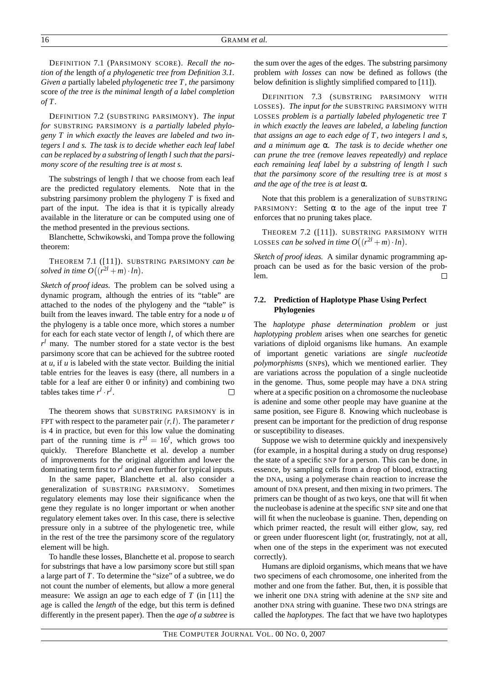DEFINITION 7.1 (PARSIMONY SCORE). *Recall the notion of the* length *of a phylogenetic tree from Definition 3.1. Given a* partially labeled *phylogenetic tree T , the* parsimony score *of the tree is the minimal length of a label completion of T .*

DEFINITION 7.2 (SUBSTRING PARSIMONY). *The input for* SUBSTRING PARSIMONY *is a partially labeled phylogeny T in which exactly the leaves are labeled and two integers l and s. The task is to decide whether each leaf label can be replaced by a substring of length l such that the parsimony score of the resulting tree is at most s.*

The substrings of length *l* that we choose from each leaf are the predicted regulatory elements. Note that in the substring parsimony problem the phylogeny *T* is fixed and part of the input. The idea is that it is typically already available in the literature or can be computed using one of the method presented in the previous sections.

Blanchette, Schwikowski, and Tompa prove the following theorem:

THEOREM 7.1 ([11]). SUBSTRING PARSIMONY *can be solved in time*  $O((r^{2l} + m) \cdot ln)$ .

*Sketch of proof ideas.* The problem can be solved using a dynamic program, although the entries of its "table" are attached to the nodes of the phylogeny and the "table" is built from the leaves inward. The table entry for a node *u* of the phylogeny is a table once more, which stores a number for each for each state vector of length *l*, of which there are  $r<sup>l</sup>$  many. The number stored for a state vector is the best parsimony score that can be achieved for the subtree rooted at *u*, if *u* is labeled with the state vector. Building the initial table entries for the leaves is easy (there, all numbers in a table for a leaf are either 0 or infinity) and combining two tables takes time  $r^l \cdot r^l$ .  $\Box$ 

The theorem shows that SUBSTRING PARSIMONY is in FPT with respect to the parameter pair  $(r, l)$ . The parameter *r* is 4 in practice, but even for this low value the dominating part of the running time is  $r^{2l} = 16^l$ , which grows too quickly. Therefore Blanchette et al. develop a number of improvements for the original algorithm and lower the dominating term first to  $r<sup>l</sup>$  and even further for typical inputs.

In the same paper, Blanchette et al. also consider a generalization of SUBSTRING PARSIMONY. Sometimes regulatory elements may lose their significance when the gene they regulate is no longer important or when another regulatory element takes over. In this case, there is selective pressure only in a subtree of the phylogenetic tree, while in the rest of the tree the parsimony score of the regulatory element will be high.

To handle these losses, Blanchette et al. propose to search for substrings that have a low parsimony score but still span a large part of *T*. To determine the "size" of a subtree, we do not count the number of elements, but allow a more general measure: We assign an *age* to each edge of *T* (in [11] the age is called the *length* of the edge, but this term is defined differently in the present paper). Then the *age of a subtree* is

the sum over the ages of the edges. The substring parsimony problem *with losses* can now be defined as follows (the below definition is slightly simplified compared to [11]).

DEFINITION 7.3 (SUBSTRING PARSIMONY WITH LOSSES). *The input for the* SUBSTRING PARSIMONY WITH LOSSES *problem is a partially labeled phylogenetic tree T in which exactly the leaves are labeled, a labeling function that assigns an age to each edge of T, two integers l and s, and a minimum age* α*. The task is to decide whether one can prune the tree (remove leaves repeatedly) and replace each remaining leaf label by a substring of length l such that the parsimony score of the resulting tree is at most s and the age of the tree is at least* α*.*

Note that this problem is a generalization of SUBSTRING PARSIMONY: Setting  $\alpha$  to the age of the input tree *T* enforces that no pruning takes place.

THEOREM 7.2 ([11]). SUBSTRING PARSIMONY WITH LOSSES *can be solved in time*  $O((r^{2l} + m) \cdot ln)$ *.* 

*Sketch of proof ideas.* A similar dynamic programming approach can be used as for the basic version of the problem.  $\Box$ 

# **7.2. Prediction of Haplotype Phase Using Perfect Phylogenies**

The *haplotype phase determination problem* or just *haplotyping problem* arises when one searches for genetic variations of diploid organisms like humans. An example of important genetic variations are *single nucleotide polymorphisms* (SNPs), which we mentioned earlier. They are variations across the population of a single nucleotide in the genome. Thus, some people may have a DNA string where at a specific position on a chromosome the nucleobase is adenine and some other people may have guanine at the same position, see Figure 8. Knowing which nucleobase is present can be important for the prediction of drug response or susceptibility to diseases.

Suppose we wish to determine quickly and inexpensively (for example, in a hospital during a study on drug response) the state of a specific SNP for a person. This can be done, in essence, by sampling cells from a drop of blood, extracting the DNA, using a polymerase chain reaction to increase the amount of DNA present, and then mixing in two primers. The primers can be thought of as two keys, one that will fit when the nucleobase is adenine at the specific SNP site and one that will fit when the nucleobase is guanine. Then, depending on which primer reacted, the result will either glow, say, red or green under fluorescent light (or, frustratingly, not at all, when one of the steps in the experiment was not executed correctly).

Humans are diploid organisms, which means that we have two specimens of each chromosome, one inherited from the mother and one from the father. But, then, it is possible that we inherit one DNA string with adenine at the SNP site and another DNA string with guanine. These two DNA strings are called the *haplotypes*. The fact that we have two haplotypes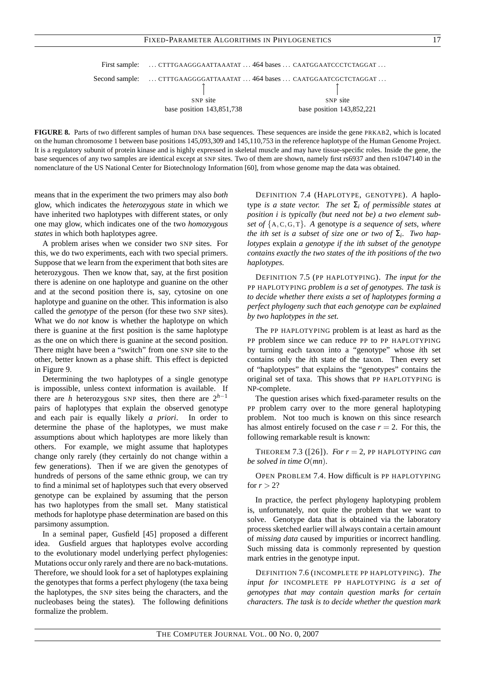

**FIGURE 8.** Parts of two different samples of human DNA base sequences. These sequences are inside the gene PRKAB2, which is located on the human chromosome 1 between base positions 145,093,309 and 145,110,753 in the reference haplotype of the Human Genome Project. It is a regulatory subunit of protein kinase and is highly expressed in skeletal muscle and may have tissue-specific roles. Inside the gene, the base sequences of any two samples are identical except at SNP sites. Two of them are shown, namely first rs6937 and then rs1047140 in the nomenclature of the US National Center for Biotechnology Information [60], from whose genome map the data was obtained.

means that in the experiment the two primers may also *both* glow, which indicates the *heterozygous state* in which we have inherited two haplotypes with different states, or only one may glow, which indicates one of the two *homozygous states* in which both haplotypes agree.

A problem arises when we consider two SNP sites. For this, we do two experiments, each with two special primers. Suppose that we learn from the experiment that both sites are heterozygous. Then we know that, say, at the first position there is adenine on one haplotype and guanine on the other and at the second position there is, say, cytosine on one haplotype and guanine on the other. This information is also called the *genotype* of the person (for these two SNP sites). What we do *not* know is whether the haplotype on which there is guanine at the first position is the same haplotype as the one on which there is guanine at the second position. There might have been a "switch" from one SNP site to the other, better known as a phase shift. This effect is depicted in Figure 9.

Determining the two haplotypes of a single genotype is impossible, unless context information is available. If there are *h* heterozygous SNP sites, then there are  $2^{h-1}$ pairs of haplotypes that explain the observed genotype and each pair is equally likely *a priori*. In order to determine the phase of the haplotypes, we must make assumptions about which haplotypes are more likely than others. For example, we might assume that haplotypes change only rarely (they certainly do not change within a few generations). Then if we are given the genotypes of hundreds of persons of the same ethnic group, we can try to find a minimal set of haplotypes such that every observed genotype can be explained by assuming that the person has two haplotypes from the small set. Many statistical methods for haplotype phase determination are based on this parsimony assumption.

In a seminal paper, Gusfield [45] proposed a different idea. Gusfield argues that haplotypes evolve according to the evolutionary model underlying perfect phylogenies: Mutations occur only rarely and there are no back-mutations. Therefore, we should look for a set of haplotypes explaining the genotypes that forms a perfect phylogeny (the taxa being the haplotypes, the SNP sites being the characters, and the nucleobases being the states). The following definitions formalize the problem.

DEFINITION 7.4 (HAPLOTYPE, GENOTYPE). *A* haplotype *is a state vector. The set* Σ*<sup>i</sup> of permissible states at position i is typically (but need not be) a two element subset of* {A, C, G, T}*. A* genotype *is a sequence of sets, where the ith set is a subset of size one or two of* Σ*<sup>i</sup> . Two haplotypes* explain *a genotype if the ith subset of the genotype contains exactly the two states of the ith positions of the two haplotypes.*

DEFINITION 7.5 (PP HAPLOTYPING). *The input for the* PP HAPLOTYPING *problem is a set of genotypes. The task is to decide whether there exists a set of haplotypes forming a perfect phylogeny such that each genotype can be explained by two haplotypes in the set.*

The PP HAPLOTYPING problem is at least as hard as the PP problem since we can reduce PP to PP HAPLOTYPING by turning each taxon into a "genotype" whose *i*th set contains only the *i*th state of the taxon. Then every set of "haplotypes" that explains the "genotypes" contains the original set of taxa. This shows that PP HAPLOTYPING is NP-complete.

The question arises which fixed-parameter results on the PP problem carry over to the more general haplotyping problem. Not too much is known on this since research has almost entirely focused on the case  $r = 2$ . For this, the following remarkable result is known:

THEOREM 7.3 ([26]). *For*  $r = 2$ , PP HAPLOTYPING *can be solved in time O*(*mn*)*.*

OPEN PROBLEM 7.4. How difficult is PP HAPLOTYPING for  $r > 2$ ?

In practice, the perfect phylogeny haplotyping problem is, unfortunately, not quite the problem that we want to solve. Genotype data that is obtained via the laboratory process sketched earlier will always contain a certain amount of *missing data* caused by impurities or incorrect handling. Such missing data is commonly represented by question mark entries in the genotype input.

DEFINITION 7.6 (INCOMPLETE PP HAPLOTYPING). *The input for* INCOMPLETE PP HAPLOTYPING *is a set of genotypes that may contain question marks for certain characters. The task is to decide whether the question mark*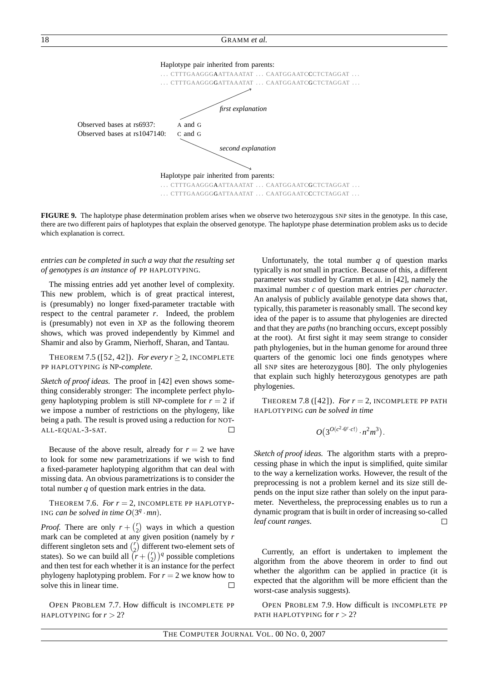

**FIGURE 9.** The haplotype phase determination problem arises when we observe two heterozygous SNP sites in the genotype. In this case, there are two different pairs of haplotypes that explain the observed genotype. The haplotype phase determination problem asks us to decide which explanation is correct.

*entries can be completed in such a way that the resulting set of genotypes is an instance of* PP HAPLOTYPING*.*

The missing entries add yet another level of complexity. This new problem, which is of great practical interest, is (presumably) no longer fixed-parameter tractable with respect to the central parameter *r*. Indeed, the problem is (presumably) not even in XP as the following theorem shows, which was proved independently by Kimmel and Shamir and also by Gramm, Nierhoff, Sharan, and Tantau.

THEOREM 7.5 ([52, 42]). *For every r*  $>$  2, INCOMPLETE PP HAPLOTYPING *is* NP*-complete.*

*Sketch of proof ideas.* The proof in [42] even shows something considerably stronger: The incomplete perfect phylogeny haplotyping problem is still NP-complete for  $r = 2$  if we impose a number of restrictions on the phylogeny, like being a path. The result is proved using a reduction for NOT-ALL-EQUAL-3-SAT.  $\Box$ 

Because of the above result, already for  $r = 2$  we have to look for some new parametrizations if we wish to find a fixed-parameter haplotyping algorithm that can deal with missing data. An obvious parametrizations is to consider the total number *q* of question mark entries in the data.

THEOREM 7.6. *For*  $r = 2$ , INCOMPLETE PP HAPLOTYP-ING *can be solved in time*  $O(3^q \cdot mn)$ *.* 

*Proof.* There are only  $r + {r \choose 2}$  ways in which a question mark can be completed at any given position (namely by *r* different singleton sets and  $\binom{r}{2}$  different two-element sets of states). So we can build all  $(r + r_2)/q$  possible completions and then test for each whether it is an instance for the perfect phylogeny haplotyping problem. For  $r = 2$  we know how to solve this in linear time.  $\Box$ 

OPEN PROBLEM 7.7. How difficult is INCOMPLETE PP HAPLOTYPING for  $r > 2$ ?

Unfortunately, the total number  $q$  of question marks typically is *not* small in practice. Because of this, a different parameter was studied by Gramm et al. in [42], namely the maximal number *c* of question mark entries *per character*. An analysis of publicly available genotype data shows that, typically, this parameter is reasonably small. The second key idea of the paper is to assume that phylogenies are directed and that they are *paths* (no branching occurs, except possibly at the root). At first sight it may seem strange to consider path phylogenies, but in the human genome for around three quarters of the genomic loci one finds genotypes where all SNP sites are heterozygous [80]. The only phylogenies that explain such highly heterozygous genotypes are path phylogenies.

THEOREM 7.8 ( $[42]$ ). *For r* = 2, INCOMPLETE PP PATH HAPLOTYPING *can be solved in time*

$$
O(3^{O(c^2 \cdot 6^c \cdot c!)} \cdot n^2 m^3).
$$

*Sketch of proof ideas.* The algorithm starts with a preprocessing phase in which the input is simplified, quite similar to the way a kernelization works. However, the result of the preprocessing is not a problem kernel and its size still depends on the input size rather than solely on the input parameter. Nevertheless, the preprocessing enables us to run a dynamic program that is built in order of increasing so-called *leaf count ranges*.  $\Box$ 

Currently, an effort is undertaken to implement the algorithm from the above theorem in order to find out whether the algorithm can be applied in practice (it is expected that the algorithm will be more efficient than the worst-case analysis suggests).

OPEN PROBLEM 7.9. How difficult is INCOMPLETE PP PATH HAPLOTYPING for  $r > 2$ ?

THE COMPUTER JOURNAL VOL. 00 NO. 0, 2007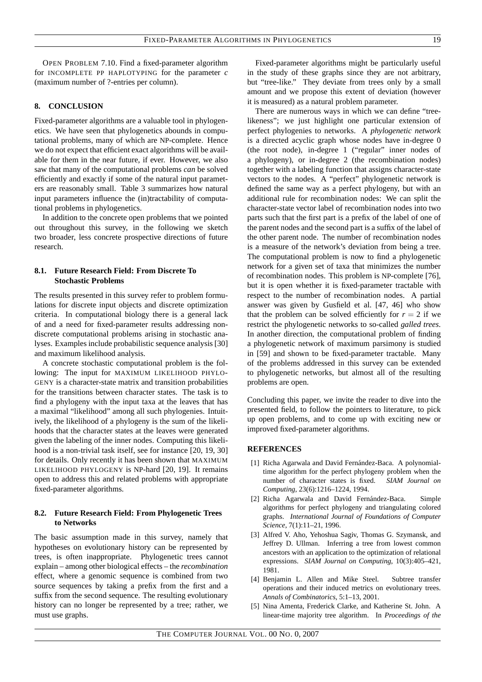OPEN PROBLEM 7.10. Find a fixed-parameter algorithm for INCOMPLETE PP HAPLOTYPING for the parameter *c* (maximum number of ?-entries per column).

## **8. CONCLUSION**

Fixed-parameter algorithms are a valuable tool in phylogenetics. We have seen that phylogenetics abounds in computational problems, many of which are NP-complete. Hence we do not expect that efficient exact algorithms will be available for them in the near future, if ever. However, we also saw that many of the computational problems *can* be solved efficiently and exactly if some of the natural input parameters are reasonably small. Table 3 summarizes how natural input parameters influence the (in)tractability of computational problems in phylogenetics.

In addition to the concrete open problems that we pointed out throughout this survey, in the following we sketch two broader, less concrete prospective directions of future research.

# **8.1. Future Research Field: From Discrete To Stochastic Problems**

The results presented in this survey refer to problem formulations for discrete input objects and discrete optimization criteria. In computational biology there is a general lack of and a need for fixed-parameter results addressing nondiscrete computational problems arising in stochastic analyses. Examples include probabilistic sequence analysis [30] and maximum likelihood analysis.

A concrete stochastic computational problem is the following: The input for MAXIMUM LIKELIHOOD PHYLO-GENY is a character-state matrix and transition probabilities for the transitions between character states. The task is to find a phylogeny with the input taxa at the leaves that has a maximal "likelihood" among all such phylogenies. Intuitively, the likelihood of a phylogeny is the sum of the likelihoods that the character states at the leaves were generated given the labeling of the inner nodes. Computing this likelihood is a non-trivial task itself, see for instance [20, 19, 30] for details. Only recently it has been shown that MAXIMUM LIKELIHOOD PHYLOGENY is NP-hard [20, 19]. It remains open to address this and related problems with appropriate fixed-parameter algorithms.

# **8.2. Future Research Field: From Phylogenetic Trees to Networks**

The basic assumption made in this survey, namely that hypotheses on evolutionary history can be represented by trees, is often inappropriate. Phylogenetic trees cannot explain – among other biological effects – the *recombination* effect, where a genomic sequence is combined from two source sequences by taking a prefix from the first and a suffix from the second sequence. The resulting evolutionary history can no longer be represented by a tree; rather, we must use graphs.

Fixed-parameter algorithms might be particularly useful in the study of these graphs since they are not arbitrary, but "tree-like." They deviate from trees only by a small amount and we propose this extent of deviation (however it is measured) as a natural problem parameter.

There are numerous ways in which we can define "treelikeness"; we just highlight one particular extension of perfect phylogenies to networks. A *phylogenetic network* is a directed acyclic graph whose nodes have in-degree 0 (the root node), in-degree 1 ("regular" inner nodes of a phylogeny), or in-degree 2 (the recombination nodes) together with a labeling function that assigns character-state vectors to the nodes. A "perfect" phylogenetic network is defined the same way as a perfect phylogeny, but with an additional rule for recombination nodes: We can split the character-state vector label of recombination nodes into two parts such that the first part is a prefix of the label of one of the parent nodes and the second part is a suffix of the label of the other parent node. The number of recombination nodes is a measure of the network's deviation from being a tree. The computational problem is now to find a phylogenetic network for a given set of taxa that minimizes the number of recombination nodes. This problem is NP-complete [76], but it is open whether it is fixed-parameter tractable with respect to the number of recombination nodes. A partial answer was given by Gusfield et al. [47, 46] who show that the problem can be solved efficiently for  $r = 2$  if we restrict the phylogenetic networks to so-called *galled trees*. In another direction, the computational problem of finding a phylogenetic network of maximum parsimony is studied in [59] and shown to be fixed-parameter tractable. Many of the problems addressed in this survey can be extended to phylogenetic networks, but almost all of the resulting problems are open.

Concluding this paper, we invite the reader to dive into the presented field, to follow the pointers to literature, to pick up open problems, and to come up with exciting new or improved fixed-parameter algorithms.

## **REFERENCES**

- [1] Richa Agarwala and David Fernández-Baca. A polynomialtime algorithm for the perfect phylogeny problem when the number of character states is fixed. *SIAM Journal on Computing*, 23(6):1216–1224, 1994.
- [2] Richa Agarwala and David Fernández-Baca. Simple algorithms for perfect phylogeny and triangulating colored graphs. *International Journal of Foundations of Computer Science*, 7(1):11–21, 1996.
- [3] Alfred V. Aho, Yehoshua Sagiv, Thomas G. Szymansk, and Jeffrey D. Ullman. Inferring a tree from lowest common ancestors with an application to the optimization of relational expressions. *SIAM Journal on Computing*, 10(3):405–421, 1981.
- [4] Benjamin L. Allen and Mike Steel. Subtree transfer operations and their induced metrics on evolutionary trees. *Annals of Combinatorics*, 5:1–13, 2001.
- [5] Nina Amenta, Frederick Clarke, and Katherine St. John. A linear-time majority tree algorithm. In *Proceedings of the*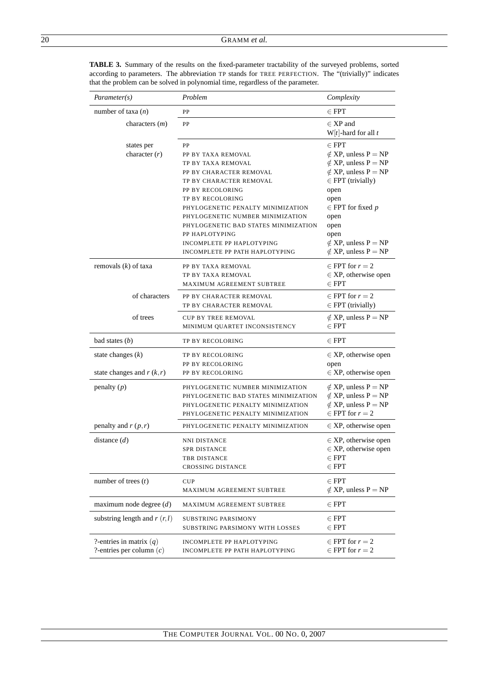| Parameter(s)                                            | Problem                                                                                                                                                                                                                                                                                                                                        | Complexity                                                                                                                                                                                                                                                |
|---------------------------------------------------------|------------------------------------------------------------------------------------------------------------------------------------------------------------------------------------------------------------------------------------------------------------------------------------------------------------------------------------------------|-----------------------------------------------------------------------------------------------------------------------------------------------------------------------------------------------------------------------------------------------------------|
| number of taxa $(n)$                                    | PP                                                                                                                                                                                                                                                                                                                                             | $\in$ FPT                                                                                                                                                                                                                                                 |
| characters $(m)$                                        | PP                                                                                                                                                                                                                                                                                                                                             | $\in$ XP and<br>$W[t]$ -hard for all t                                                                                                                                                                                                                    |
| states per<br>character $(r)$                           | PP<br>PP BY TAXA REMOVAL<br>TP BY TAXA REMOVAL<br>PP BY CHARACTER REMOVAL<br>TP BY CHARACTER REMOVAL<br>PP BY RECOLORING<br>TP BY RECOLORING<br>PHYLOGENETIC PENALTY MINIMIZATION<br>PHYLOGENETIC NUMBER MINIMIZATION<br>PHYLOGENETIC BAD STATES MINIMIZATION<br>PP HAPLOTYPING<br>INCOMPLETE PP HAPLOTYPING<br>INCOMPLETE PP PATH HAPLOTYPING | $\in$ FPT<br>$\notin$ XP, unless P = NP<br>$\notin$ XP, unless P = NP<br>$\notin$ XP, unless P = NP<br>$\in$ FPT (trivially)<br>open<br>open<br>$\in$ FPT for fixed p<br>open<br>open<br>open<br>$\notin$ XP, unless P = NP<br>$\notin$ XP, unless P = NP |
| removals $(k)$ of taxa                                  | PP BY TAXA REMOVAL<br>TP BY TAXA REMOVAL<br>MAXIMUM AGREEMENT SUBTREE                                                                                                                                                                                                                                                                          | $\in$ FPT for $r = 2$<br>$\in$ XP, otherwise open<br>$\in$ FPT                                                                                                                                                                                            |
| of characters                                           | PP BY CHARACTER REMOVAL<br>TP BY CHARACTER REMOVAL                                                                                                                                                                                                                                                                                             | $\in$ FPT for $r = 2$<br>$\in$ FPT (trivially)                                                                                                                                                                                                            |
| of trees                                                | <b>CUP BY TREE REMOVAL</b><br>MINIMUM QUARTET INCONSISTENCY                                                                                                                                                                                                                                                                                    | $\notin$ XP, unless P = NP<br>$\in$ FPT                                                                                                                                                                                                                   |
| bad states $(b)$                                        | TP BY RECOLORING                                                                                                                                                                                                                                                                                                                               | $\in$ FPT                                                                                                                                                                                                                                                 |
| state changes $(k)$<br>state changes and $r(k,r)$       | TP BY RECOLORING<br>PP BY RECOLORING<br>PP BY RECOLORING                                                                                                                                                                                                                                                                                       | $\in$ XP, otherwise open<br>open<br>$\in$ XP, otherwise open                                                                                                                                                                                              |
| penalty $(p)$                                           | PHYLOGENETIC NUMBER MINIMIZATION<br>PHYLOGENETIC BAD STATES MINIMIZATION<br>PHYLOGENETIC PENALTY MINIMIZATION<br>PHYLOGENETIC PENALTY MINIMIZATION                                                                                                                                                                                             | $\notin$ XP, unless P = NP<br>$\notin$ XP, unless P = NP<br>$\notin$ XP, unless P = NP<br>$\in$ FPT for $r = 2$                                                                                                                                           |
| penalty and $r(p,r)$                                    | PHYLOGENETIC PENALTY MINIMIZATION                                                                                                                                                                                                                                                                                                              | $\in$ XP, otherwise open                                                                                                                                                                                                                                  |
| distance $(d)$                                          | NNI DISTANCE<br>SPR DISTANCE<br>TBR DISTANCE<br>CROSSING DISTANCE                                                                                                                                                                                                                                                                              | $\in$ XP, otherwise open<br>$\in$ XP, otherwise open<br>$\in$ FPT<br>$\in$ FPT                                                                                                                                                                            |
| number of trees $(t)$                                   | <b>CUP</b><br>MAXIMUM AGREEMENT SUBTREE                                                                                                                                                                                                                                                                                                        | $\in$ FPT<br>$\notin$ XP, unless P = NP                                                                                                                                                                                                                   |
| maximum node degree $(d)$                               | MAXIMUM AGREEMENT SUBTREE                                                                                                                                                                                                                                                                                                                      | $\in$ FPT                                                                                                                                                                                                                                                 |
| substring length and $r(r, l)$                          | SUBSTRING PARSIMONY<br>SUBSTRING PARSIMONY WITH LOSSES                                                                                                                                                                                                                                                                                         | $\in$ FPT<br>$\in$ FPT                                                                                                                                                                                                                                    |
| ?-entries in matrix $(q)$<br>?-entries per column $(c)$ | INCOMPLETE PP HAPLOTYPING<br>INCOMPLETE PP PATH HAPLOTYPING                                                                                                                                                                                                                                                                                    | $\in$ FPT for $r = 2$<br>$\in$ FPT for $r = 2$                                                                                                                                                                                                            |

**TABLE 3.** Summary of the results on the fixed-parameter tractability of the surveyed problems, sorted according to parameters. The abbreviation TP stands for TREE PERFECTION. The "(trivially)" indicates that the problem can be solved in polynomial time, regardless of the parameter.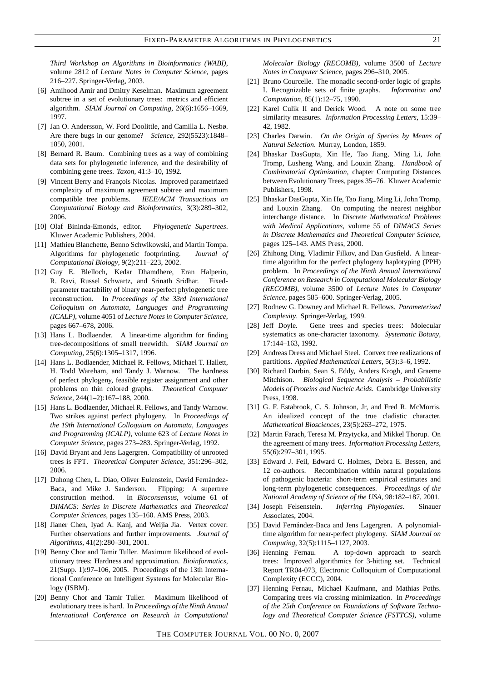*Third Workshop on Algorithms in Bioinformatics (WABI)*, volume 2812 of *Lecture Notes in Computer Science*, pages 216–227. Springer-Verlag, 2003.

- [6] Amihood Amir and Dmitry Keselman. Maximum agreement subtree in a set of evolutionary trees: metrics and efficient algorithm. *SIAM Journal on Computing*, 26(6):1656–1669, 1997.
- [7] Jan O. Andersson, W. Ford Doolittle, and Camilla L. Nesbø. Are there bugs in our genome? *Science*, 292(5523):1848– 1850, 2001.
- [8] Bernard R. Baum. Combining trees as a way of combining data sets for phylogenetic inference, and the desirability of combining gene trees. *Taxon*, 41:3–10, 1992.
- [9] Vincent Berry and François Nicolas. Improved parametrized complexity of maximum agreement subtree and maximum compatible tree problems. *IEEE/ACM Transactions on Computational Biology and Bioinformatics*, 3(3):289–302, 2006.
- [10] Olaf Bininda-Emonds, editor. *Phylogenetic Supertrees*. Kluwer Academic Publishers, 2004.
- [11] Mathieu Blanchette, Benno Schwikowski, and Martin Tompa. Algorithms for phylogenetic footprinting. *Journal of Computational Biology*, 9(2):211–223, 2002.
- [12] Guy E. Blelloch, Kedar Dhamdhere, Eran Halperin, R. Ravi, Russel Schwartz, and Srinath Sridhar. Fixedparameter tractability of binary near-perfect phylogenetic tree reconstruction. In *Proceedings of the 33rd International Colloquium on Automata, Languages and Programming (ICALP)*, volume 4051 of *Lecture Notes in Computer Science*, pages 667–678, 2006.
- [13] Hans L. Bodlaender. A linear-time algorithm for finding tree-decompositions of small treewidth. *SIAM Journal on Computing*, 25(6):1305–1317, 1996.
- [14] Hans L. Bodlaender, Michael R. Fellows, Michael T. Hallett, H. Todd Wareham, and Tandy J. Warnow. The hardness of perfect phylogeny, feasible register assignment and other problems on thin colored graphs. *Theoretical Computer Science*, 244(1–2):167–188, 2000.
- [15] Hans L. Bodlaender, Michael R. Fellows, and Tandy Warnow. Two strikes against perfect phylogeny. In *Proceedings of the 19th International Colloquium on Automata, Languages and Programming (ICALP)*, volume 623 of *Lecture Notes in Computer Science*, pages 273–283. Springer-Verlag, 1992.
- [16] David Bryant and Jens Lagergren. Compatibility of unrooted trees is FPT. *Theoretical Computer Science*, 351:296–302, 2006.
- [17] Duhong Chen, L. Diao, Oliver Eulenstein, David Fernández-Baca, and Mike J. Sanderson. Flipping: A supertree construction method. In *Bioconsensus*, volume 61 of *DIMACS: Series in Discrete Mathematics and Theoretical Computer Sciences*, pages 135–160. AMS Press, 2003.
- [18] Jianer Chen, Iyad A. Kanj, and Weijia Jia. Vertex cover: Further observations and further improvements. *Journal of Algorithms*, 41(2):280–301, 2001.
- [19] Benny Chor and Tamir Tuller. Maximum likelihood of evolutionary trees: Hardness and approximation. *Bioinformatics*, 21(Supp. 1):97–106, 2005. Proceedings of the 13th International Conference on Intelligent Systems for Molecular Biology (ISBM).
- [20] Benny Chor and Tamir Tuller. Maximum likelihood of evolutionary trees is hard. In *Proceedings of the Ninth Annual International Conference on Research in Computational*

*Molecular Biology (RECOMB)*, volume 3500 of *Lecture Notes in Computer Science*, pages 296–310, 2005.

- [21] Bruno Courcelle. The monadic second-order logic of graphs I. Recognizable sets of finite graphs. *Information and Computation*, 85(1):12–75, 1990.
- [22] Karel Culik II and Derick Wood. A note on some tree similarity measures. *Information Processing Letters*, 15:39– 42, 1982.
- [23] Charles Darwin. *On the Origin of Species by Means of Natural Selection*. Murray, London, 1859.
- [24] Bhaskar DasGupta, Xin He, Tao Jiang, Ming Li, John Tromp, Lusheng Wang, and Louxin Zhang. *Handbook of Combinatorial Optimization*, chapter Computing Distances between Evolutionary Trees, pages 35–76. Kluwer Academic Publishers, 1998.
- [25] Bhaskar DasGupta, Xin He, Tao Jiang, Ming Li, John Tromp, and Louxin Zhang. On computing the nearest neighbor interchange distance. In *Discrete Mathematical Problems with Medical Applications*, volume 55 of *DIMACS Series in Discrete Mathematics and Theoretical Computer Science*, pages 125–143. AMS Press, 2000.
- [26] Zhihong Ding, Vladimir Filkov, and Dan Gusfield. A lineartime algorithm for the perfect phylogeny haplotyping (PPH) problem. In *Proceedings of the Ninth Annual International Conference on Research in Computational Molecular Biology (RECOMB)*, volume 3500 of *Lecture Notes in Computer Science*, pages 585–600. Springer-Verlag, 2005.
- [27] Rodnew G. Downey and Michael R. Fellows. *Parameterized Complexity*. Springer-Verlag, 1999.
- [28] Jeff Doyle. Gene trees and species trees: Molecular systematics as one-character taxonomy. *Systematic Botany*, 17:144–163, 1992.
- [29] Andreas Dress and Michael Steel. Convex tree realizations of partitions. *Applied Mathematical Letters*, 5(3):3–6, 1992.
- [30] Richard Durbin, Sean S. Eddy, Anders Krogh, and Graeme Mitchison. *Biological Sequence Analysis – Probabilistic Models of Proteins and Nucleic Acids*. Cambridge University Press, 1998.
- [31] G. F. Estabrook, C. S. Johnson, Jr. and Fred R. McMorris. An idealized concept of the true cladistic character. *Mathematical Biosciences*, 23(5):263–272, 1975.
- [32] Martin Farach, Teresa M. Przytycka, and Mikkel Thorup. On the agreement of many trees. *Information Processing Letters*, 55(6):297–301, 1995.
- [33] Edward J. Feil, Edward C. Holmes, Debra E. Bessen, and 12 co-authors. Recombination within natural populations of pathogenic bacteria: short-term empirical estimates and long-term phylogenetic consequences. *Proceedings of the National Academy of Science of the USA*, 98:182–187, 2001.
- [34] Joseph Felsenstein. *Inferring Phylogenies*. Sinauer Associates, 2004.
- [35] David Fernández-Baca and Jens Lagergren. A polynomialtime algorithm for near-perfect phylogeny. *SIAM Journal on Computing*, 32(5):1115–1127, 2003.
- [36] Henning Fernau. A top-down approach to search trees: Improved algorithmics for 3-hitting set. Technical Report TR04-073, Electronic Colloquium of Computational Complexity (ECCC), 2004.
- [37] Henning Fernau, Michael Kaufmann, and Mathias Poths. Comparing trees via crossing minimization. In *Proceedings of the 25th Conference on Foundations of Software Technology and Theoretical Computer Science (FSTTCS)*, volume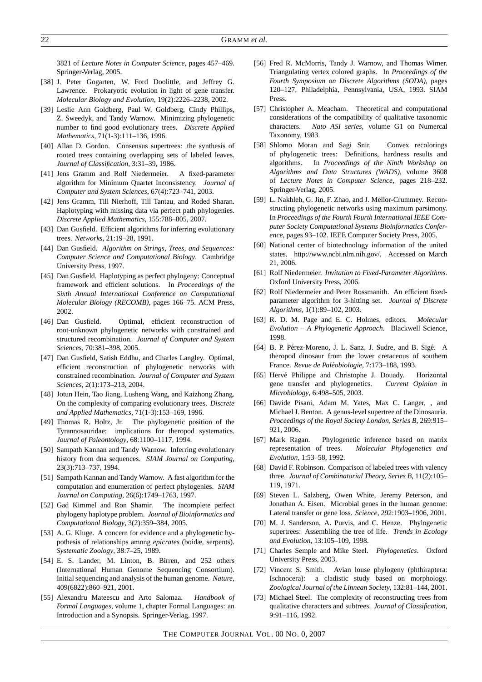3821 of *Lecture Notes in Computer Science*, pages 457–469. Springer-Verlag, 2005.

- [38] J. Peter Gogarten, W. Ford Doolittle, and Jeffrey G. Lawrence. Prokaryotic evolution in light of gene transfer. *Molecular Biology and Evolution*, 19(2):2226–2238, 2002.
- [39] Leslie Ann Goldberg, Paul W. Goldberg, Cindy Phillips, Z. Sweedyk, and Tandy Warnow. Minimizing phylogenetic number to find good evolutionary trees. *Discrete Applied Mathematics*, 71(1-3):111–136, 1996.
- [40] Allan D. Gordon. Consensus supertrees: the synthesis of rooted trees containing overlapping sets of labeled leaves. *Journal of Classification*, 3:31–39, 1986.
- [41] Jens Gramm and Rolf Niedermeier. A fixed-parameter algorithm for Minimum Quartet Inconsistency. *Journal of Computer and System Sciences*, 67(4):723–741, 2003.
- [42] Jens Gramm, Till Nierhoff, Till Tantau, and Roded Sharan. Haplotyping with missing data via perfect path phylogenies. *Discrete Applied Mathematics*, 155:788–805, 2007.
- [43] Dan Gusfield. Efficient algorithms for inferring evolutionary trees. *Networks*, 21:19–28, 1991.
- [44] Dan Gusfield. *Algorithm on Strings, Trees, and Sequences: Computer Science and Computational Biology*. Cambridge University Press, 1997.
- [45] Dan Gusfield. Haplotyping as perfect phylogeny: Conceptual framework and efficient solutions. In *Proceedings of the Sixth Annual International Conference on Computational Molecular Biology (RECOMB)*, pages 166–75. ACM Press, 2002.
- [46] Dan Gusfield. Optimal, efficient reconstruction of root-unknown phylogenetic networks with constrained and structured recombination. *Journal of Computer and System Sciences*, 70:381–398, 2005.
- [47] Dan Gusfield, Satish Eddhu, and Charles Langley. Optimal, efficient reconstruction of phylogenetic networks with constrained recombination. *Journal of Computer and System Sciences*, 2(1):173–213, 2004.
- [48] Jotun Hein, Tao Jiang, Lusheng Wang, and Kaizhong Zhang. On the complexity of comparing evolutionary trees. *Discrete and Applied Mathematics*, 71(1-3):153–169, 1996.
- [49] Thomas R. Holtz, Jr. The phylogenetic position of the Tyrannosauridae: implications for theropod systematics. *Journal of Paleontology*, 68:1100–1117, 1994.
- [50] Sampath Kannan and Tandy Warnow. Inferring evolutionary history from dna sequences. *SIAM Journal on Computing*, 23(3):713–737, 1994.
- [51] Sampath Kannan and Tandy Warnow. A fast algorithm for the computation and enumeration of perfect phylogenies. *SIAM Journal on Computing*, 26(6):1749–1763, 1997.
- [52] Gad Kimmel and Ron Shamir. The incomplete perfect phylogeny haplotype problem. *Journal of Bioinformatics and Computational Biology*, 3(2):359–384, 2005.
- [53] A. G. Kluge. A concern for evidence and a phylogenetic hypothesis of relationships among *epicrates* (boidæ, serpents). *Systematic Zoology*, 38:7–25, 1989.
- [54] E. S. Lander, M. Linton, B. Birren, and 252 others (International Human Genome Sequencing Consortium). Initial sequencing and analysis of the human genome. *Nature*, 409(6822):860–921, 2001.
- [55] Alexandru Mateescu and Arto Salomaa. *Handbook of Formal Languages*, volume 1, chapter Formal Languages: an Introduction and a Synopsis. Springer-Verlag, 1997.
- [56] Fred R. McMorris, Tandy J. Warnow, and Thomas Wimer. Triangulating vertex colored graphs. In *Proceedings of the Fourth Symposium on Discrete Algorithms (SODA)*, pages 120–127, Philadelphia, Pennsylvania, USA, 1993. SIAM Press.
- [57] Christopher A. Meacham. Theoretical and computational considerations of the compatibility of qualitative taxonomic characters. *Nato ASI series*, volume G1 on Numercal Taxonomy, 1983.
- [58] Shlomo Moran and Sagi Snir. Convex recolorings of phylogenetic trees: Definitions, hardness results and algorithms. In *Proceedings of the Ninth Workshop on Algorithms and Data Structures (WADS)*, volume 3608 of *Lecture Notes in Computer Science*, pages 218–232. Springer-Verlag, 2005.
- [59] L. Nakhleh, G. Jin, F. Zhao, and J. Mellor-Crummey. Reconstructing phylogenetic networks using maximum parsimony. In *Proceedings of the Fourth Fourth International IEEE Computer Society Computational Systems Bioinformatics Conference*, pages 93–102. IEEE Computer Society Press, 2005.
- [60] National center of biotechnology information of the united states. http://www.ncbi.nlm.nih.gov/. Accessed on March 21, 2006.
- [61] Rolf Niedermeier. *Invitation to Fixed-Parameter Algorithms*. Oxford University Press, 2006.
- [62] Rolf Niedermeier and Peter Rossmanith. An efficient fixedparameter algorithm for 3-hitting set. *Journal of Discrete Algorithms*, 1(1):89–102, 2003.
- [63] R. D. M. Page and E. C. Holmes, editors. *Molecular Evolution – A Phylogenetic Approach*. Blackwell Science, 1998.
- [64] B. P. Pérez-Moreno, J. L. Sanz, J. Sudre, and B. Sigé. A theropod dinosaur from the lower cretaceous of southern France. *Revue de Paleobiologie ´* , 7:173–188, 1993.
- [65] Hervé Philippe and Christophe J. Douady. Horizontal gene transfer and phylogenetics. *Current Opinion in Microbiology*, 6:498–505, 2003.
- [66] Davide Pisani, Adam M. Yates, Max C. Langer, , and Michael J. Benton. A genus-level supertree of the Dinosauria. *Proceedings of the Royal Society London, Series B*, 269:915– 921, 2006.
- [67] Mark Ragan. Phylogenetic inference based on matrix representation of trees. *Molecular Phylogenetics and Evolution*, 1:53–58, 1992.
- [68] David F. Robinson. Comparison of labeled trees with valency three. *Journal of Combinatorial Theory, Series B*, 11(2):105– 119, 1971.
- [69] Steven L. Salzberg, Owen White, Jeremy Peterson, and Jonathan A. Eisen. Microbial genes in the human genome: Lateral transfer or gene loss. *Science*, 292:1903–1906, 2001.
- [70] M. J. Sanderson, A. Purvis, and C. Henze. Phylogenetic supertrees: Assembling the tree of life. *Trends in Ecology and Evolution*, 13:105–109, 1998.
- [71] Charles Semple and Mike Steel. *Phylogenetics*. Oxford University Press, 2003.
- [72] Vincent S. Smith. Avian louse phylogeny (phthiraptera: Ischnocera): a cladistic study based on morphology. *Zoological Journal of the Linnean Society*, 132:81–144, 2001.
- [73] Michael Steel. The complexity of reconstructing trees from qualitative characters and subtrees. *Journal of Classification*, 9:91–116, 1992.